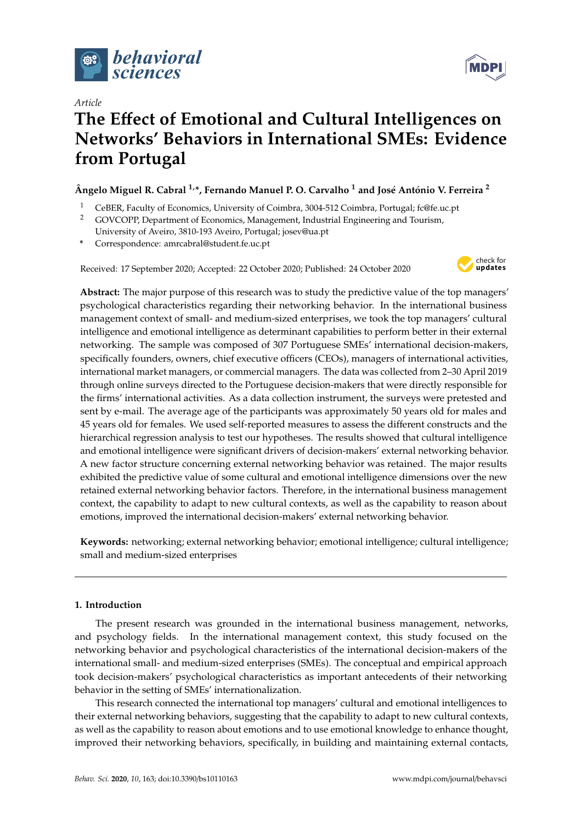

*Article*

# **The E**ff**ect of Emotional and Cultural Intelligences on Networks' Behaviors in International SMEs: Evidence from Portugal**

# **Ângelo Miguel R. Cabral 1,\*, Fernando Manuel P. O. Carvalho <sup>1</sup> and José António V. Ferreira <sup>2</sup>**

- <sup>1</sup> CeBER, Faculty of Economics, University of Coimbra, 3004-512 Coimbra, Portugal; fc@fe.uc.pt
- <sup>2</sup> GOVCOPP, Department of Economics, Management, Industrial Engineering and Tourism, University of Aveiro, 3810-193 Aveiro, Portugal; josev@ua.pt
- **\*** Correspondence: amrcabral@student.fe.uc.pt

Received: 17 September 2020; Accepted: 22 October 2020; Published: 24 October 2020



**Abstract:** The major purpose of this research was to study the predictive value of the top managers' psychological characteristics regarding their networking behavior. In the international business management context of small- and medium-sized enterprises, we took the top managers' cultural intelligence and emotional intelligence as determinant capabilities to perform better in their external networking. The sample was composed of 307 Portuguese SMEs' international decision-makers, specifically founders, owners, chief executive officers (CEOs), managers of international activities, international market managers, or commercial managers. The data was collected from 2–30 April 2019 through online surveys directed to the Portuguese decision-makers that were directly responsible for the firms' international activities. As a data collection instrument, the surveys were pretested and sent by e-mail. The average age of the participants was approximately 50 years old for males and 45 years old for females. We used self-reported measures to assess the different constructs and the hierarchical regression analysis to test our hypotheses. The results showed that cultural intelligence and emotional intelligence were significant drivers of decision-makers' external networking behavior. A new factor structure concerning external networking behavior was retained. The major results exhibited the predictive value of some cultural and emotional intelligence dimensions over the new retained external networking behavior factors. Therefore, in the international business management context, the capability to adapt to new cultural contexts, as well as the capability to reason about emotions, improved the international decision-makers' external networking behavior.

**Keywords:** networking; external networking behavior; emotional intelligence; cultural intelligence; small and medium-sized enterprises

# **1. Introduction**

The present research was grounded in the international business management, networks, and psychology fields. In the international management context, this study focused on the networking behavior and psychological characteristics of the international decision-makers of the international small- and medium-sized enterprises (SMEs). The conceptual and empirical approach took decision-makers' psychological characteristics as important antecedents of their networking behavior in the setting of SMEs' internationalization.

This research connected the international top managers' cultural and emotional intelligences to their external networking behaviors, suggesting that the capability to adapt to new cultural contexts, as well as the capability to reason about emotions and to use emotional knowledge to enhance thought, improved their networking behaviors, specifically, in building and maintaining external contacts,

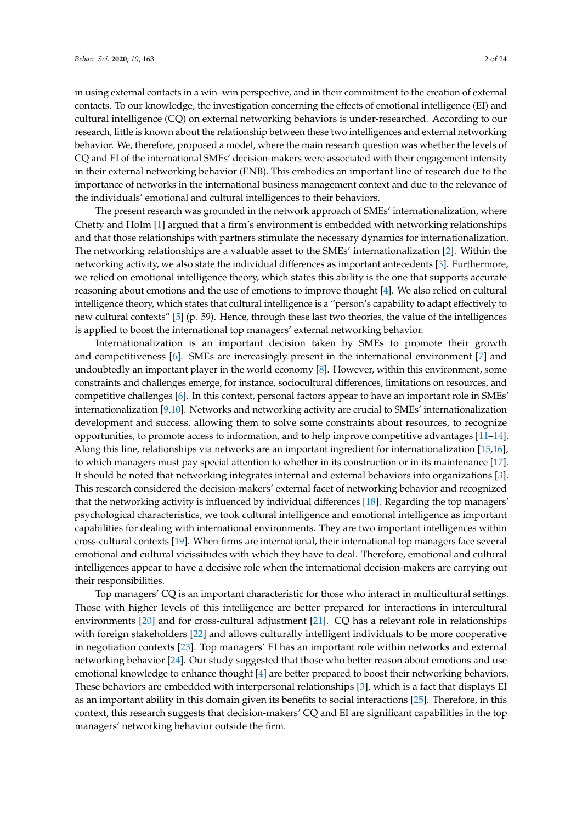in using external contacts in a win–win perspective, and in their commitment to the creation of external contacts. To our knowledge, the investigation concerning the effects of emotional intelligence (EI) and cultural intelligence (CQ) on external networking behaviors is under-researched. According to our research, little is known about the relationship between these two intelligences and external networking behavior. We, therefore, proposed a model, where the main research question was whether the levels of CQ and EI of the international SMEs' decision-makers were associated with their engagement intensity in their external networking behavior (ENB). This embodies an important line of research due to the importance of networks in the international business management context and due to the relevance of the individuals' emotional and cultural intelligences to their behaviors.

The present research was grounded in the network approach of SMEs' internationalization, where Chetty and Holm [\[1\]](#page-19-0) argued that a firm's environment is embedded with networking relationships and that those relationships with partners stimulate the necessary dynamics for internationalization. The networking relationships are a valuable asset to the SMEs' internationalization [\[2\]](#page-19-1). Within the networking activity, we also state the individual differences as important antecedents [\[3\]](#page-19-2). Furthermore, we relied on emotional intelligence theory, which states this ability is the one that supports accurate reasoning about emotions and the use of emotions to improve thought [\[4\]](#page-19-3). We also relied on cultural intelligence theory, which states that cultural intelligence is a "person's capability to adapt effectively to new cultural contexts" [\[5\]](#page-19-4) (p. 59). Hence, through these last two theories, the value of the intelligences is applied to boost the international top managers' external networking behavior.

Internationalization is an important decision taken by SMEs to promote their growth and competitiveness [\[6\]](#page-19-5). SMEs are increasingly present in the international environment [\[7\]](#page-19-6) and undoubtedly an important player in the world economy [\[8\]](#page-19-7). However, within this environment, some constraints and challenges emerge, for instance, sociocultural differences, limitations on resources, and competitive challenges [\[6\]](#page-19-5). In this context, personal factors appear to have an important role in SMEs' internationalization [\[9](#page-19-8)[,10\]](#page-19-9). Networks and networking activity are crucial to SMEs' internationalization development and success, allowing them to solve some constraints about resources, to recognize opportunities, to promote access to information, and to help improve competitive advantages [\[11–](#page-19-10)[14\]](#page-19-11). Along this line, relationships via networks are an important ingredient for internationalization [\[15](#page-20-0)[,16\]](#page-20-1), to which managers must pay special attention to whether in its construction or in its maintenance [\[17\]](#page-20-2). It should be noted that networking integrates internal and external behaviors into organizations [\[3\]](#page-19-2). This research considered the decision-makers' external facet of networking behavior and recognized that the networking activity is influenced by individual differences [\[18\]](#page-20-3). Regarding the top managers' psychological characteristics, we took cultural intelligence and emotional intelligence as important capabilities for dealing with international environments. They are two important intelligences within cross-cultural contexts [\[19\]](#page-20-4). When firms are international, their international top managers face several emotional and cultural vicissitudes with which they have to deal. Therefore, emotional and cultural intelligences appear to have a decisive role when the international decision-makers are carrying out their responsibilities.

Top managers' CQ is an important characteristic for those who interact in multicultural settings. Those with higher levels of this intelligence are better prepared for interactions in intercultural environments [\[20\]](#page-20-5) and for cross-cultural adjustment [\[21\]](#page-20-6). CQ has a relevant role in relationships with foreign stakeholders [\[22\]](#page-20-7) and allows culturally intelligent individuals to be more cooperative in negotiation contexts [\[23\]](#page-20-8). Top managers' EI has an important role within networks and external networking behavior [\[24\]](#page-20-9). Our study suggested that those who better reason about emotions and use emotional knowledge to enhance thought [\[4\]](#page-19-3) are better prepared to boost their networking behaviors. These behaviors are embedded with interpersonal relationships [\[3\]](#page-19-2), which is a fact that displays EI as an important ability in this domain given its benefits to social interactions [\[25\]](#page-20-10). Therefore, in this context, this research suggests that decision-makers' CQ and EI are significant capabilities in the top managers' networking behavior outside the firm.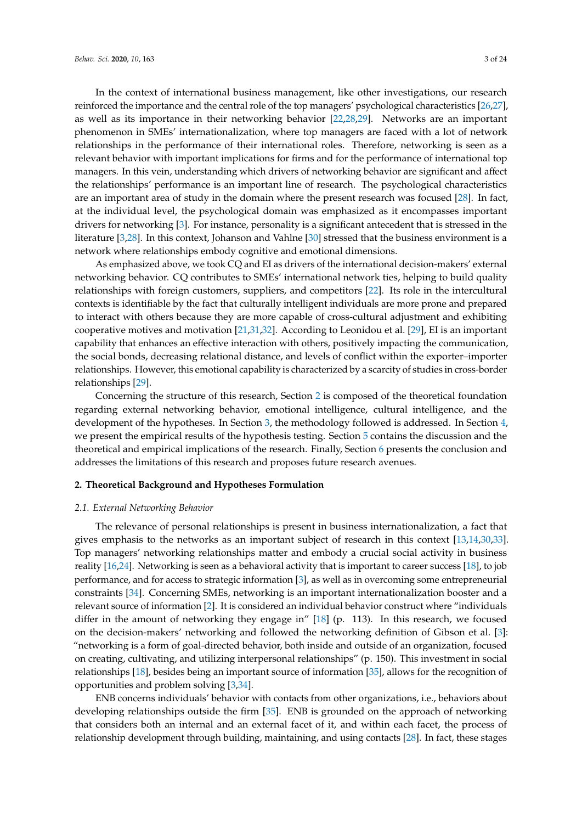In the context of international business management, like other investigations, our research reinforced the importance and the central role of the top managers' psychological characteristics [\[26](#page-20-11)[,27\]](#page-20-12), as well as its importance in their networking behavior [\[22,](#page-20-7)[28,](#page-20-13)[29\]](#page-20-14). Networks are an important phenomenon in SMEs' internationalization, where top managers are faced with a lot of network relationships in the performance of their international roles. Therefore, networking is seen as a relevant behavior with important implications for firms and for the performance of international top managers. In this vein, understanding which drivers of networking behavior are significant and affect the relationships' performance is an important line of research. The psychological characteristics are an important area of study in the domain where the present research was focused [\[28\]](#page-20-13). In fact, at the individual level, the psychological domain was emphasized as it encompasses important drivers for networking [\[3\]](#page-19-2). For instance, personality is a significant antecedent that is stressed in the literature [\[3,](#page-19-2)[28\]](#page-20-13). In this context, Johanson and Vahlne [\[30\]](#page-20-15) stressed that the business environment is a network where relationships embody cognitive and emotional dimensions.

As emphasized above, we took CQ and EI as drivers of the international decision-makers' external networking behavior. CQ contributes to SMEs' international network ties, helping to build quality relationships with foreign customers, suppliers, and competitors [\[22\]](#page-20-7). Its role in the intercultural contexts is identifiable by the fact that culturally intelligent individuals are more prone and prepared to interact with others because they are more capable of cross-cultural adjustment and exhibiting cooperative motives and motivation [\[21](#page-20-6)[,31](#page-20-16)[,32\]](#page-20-17). According to Leonidou et al. [\[29\]](#page-20-14), EI is an important capability that enhances an effective interaction with others, positively impacting the communication, the social bonds, decreasing relational distance, and levels of conflict within the exporter–importer relationships. However, this emotional capability is characterized by a scarcity of studies in cross-border relationships [\[29\]](#page-20-14).

Concerning the structure of this research, Section [2](#page-2-0) is composed of the theoretical foundation regarding external networking behavior, emotional intelligence, cultural intelligence, and the development of the hypotheses. In Section [3,](#page-7-0) the methodology followed is addressed. In Section [4,](#page-10-0) we present the empirical results of the hypothesis testing. Section [5](#page-16-0) contains the discussion and the theoretical and empirical implications of the research. Finally, Section [6](#page-18-0) presents the conclusion and addresses the limitations of this research and proposes future research avenues.

#### <span id="page-2-0"></span>**2. Theoretical Background and Hypotheses Formulation**

#### *2.1. External Networking Behavior*

The relevance of personal relationships is present in business internationalization, a fact that gives emphasis to the networks as an important subject of research in this context [\[13,](#page-19-12)[14,](#page-19-11)[30,](#page-20-15)[33\]](#page-20-18). Top managers' networking relationships matter and embody a crucial social activity in business reality [\[16](#page-20-1)[,24\]](#page-20-9). Networking is seen as a behavioral activity that is important to career success [\[18\]](#page-20-3), to job performance, and for access to strategic information [\[3\]](#page-19-2), as well as in overcoming some entrepreneurial constraints [\[34\]](#page-20-19). Concerning SMEs, networking is an important internationalization booster and a relevant source of information [\[2\]](#page-19-1). It is considered an individual behavior construct where "individuals differ in the amount of networking they engage in" [\[18\]](#page-20-3) (p. 113). In this research, we focused on the decision-makers' networking and followed the networking definition of Gibson et al. [\[3\]](#page-19-2): "networking is a form of goal-directed behavior, both inside and outside of an organization, focused on creating, cultivating, and utilizing interpersonal relationships" (p. 150). This investment in social relationships [\[18\]](#page-20-3), besides being an important source of information [\[35\]](#page-20-20), allows for the recognition of opportunities and problem solving [\[3,](#page-19-2)[34\]](#page-20-19).

ENB concerns individuals' behavior with contacts from other organizations, i.e., behaviors about developing relationships outside the firm [\[35\]](#page-20-20). ENB is grounded on the approach of networking that considers both an internal and an external facet of it, and within each facet, the process of relationship development through building, maintaining, and using contacts [\[28\]](#page-20-13). In fact, these stages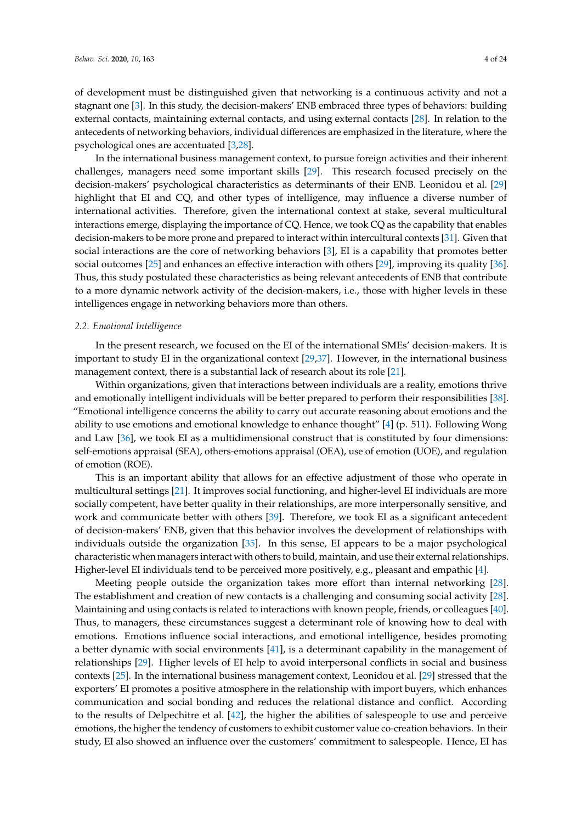of development must be distinguished given that networking is a continuous activity and not a stagnant one [\[3\]](#page-19-2). In this study, the decision-makers' ENB embraced three types of behaviors: building external contacts, maintaining external contacts, and using external contacts [\[28\]](#page-20-13). In relation to the antecedents of networking behaviors, individual differences are emphasized in the literature, where the psychological ones are accentuated [\[3](#page-19-2)[,28\]](#page-20-13).

In the international business management context, to pursue foreign activities and their inherent challenges, managers need some important skills [\[29\]](#page-20-14). This research focused precisely on the decision-makers' psychological characteristics as determinants of their ENB. Leonidou et al. [\[29\]](#page-20-14) highlight that EI and CQ, and other types of intelligence, may influence a diverse number of international activities. Therefore, given the international context at stake, several multicultural interactions emerge, displaying the importance of CQ. Hence, we took CQ as the capability that enables decision-makers to be more prone and prepared to interact within intercultural contexts [\[31\]](#page-20-16). Given that social interactions are the core of networking behaviors [\[3\]](#page-19-2), EI is a capability that promotes better social outcomes [\[25\]](#page-20-10) and enhances an effective interaction with others [\[29\]](#page-20-14), improving its quality [\[36\]](#page-20-21). Thus, this study postulated these characteristics as being relevant antecedents of ENB that contribute to a more dynamic network activity of the decision-makers, i.e., those with higher levels in these intelligences engage in networking behaviors more than others.

# *2.2. Emotional Intelligence*

In the present research, we focused on the EI of the international SMEs' decision-makers. It is important to study EI in the organizational context [\[29](#page-20-14)[,37\]](#page-20-22). However, in the international business management context, there is a substantial lack of research about its role [\[21\]](#page-20-6).

Within organizations, given that interactions between individuals are a reality, emotions thrive and emotionally intelligent individuals will be better prepared to perform their responsibilities [\[38\]](#page-21-0). "Emotional intelligence concerns the ability to carry out accurate reasoning about emotions and the ability to use emotions and emotional knowledge to enhance thought" [\[4\]](#page-19-3) (p. 511). Following Wong and Law [\[36\]](#page-20-21), we took EI as a multidimensional construct that is constituted by four dimensions: self-emotions appraisal (SEA), others-emotions appraisal (OEA), use of emotion (UOE), and regulation of emotion (ROE).

This is an important ability that allows for an effective adjustment of those who operate in multicultural settings [\[21\]](#page-20-6). It improves social functioning, and higher-level EI individuals are more socially competent, have better quality in their relationships, are more interpersonally sensitive, and work and communicate better with others [\[39\]](#page-21-1). Therefore, we took EI as a significant antecedent of decision-makers' ENB, given that this behavior involves the development of relationships with individuals outside the organization [\[35\]](#page-20-20). In this sense, EI appears to be a major psychological characteristic when managers interact with others to build, maintain, and use their external relationships. Higher-level EI individuals tend to be perceived more positively, e.g., pleasant and empathic [\[4\]](#page-19-3).

Meeting people outside the organization takes more effort than internal networking [\[28\]](#page-20-13). The establishment and creation of new contacts is a challenging and consuming social activity [\[28\]](#page-20-13). Maintaining and using contacts is related to interactions with known people, friends, or colleagues [\[40\]](#page-21-2). Thus, to managers, these circumstances suggest a determinant role of knowing how to deal with emotions. Emotions influence social interactions, and emotional intelligence, besides promoting a better dynamic with social environments [\[41\]](#page-21-3), is a determinant capability in the management of relationships [\[29\]](#page-20-14). Higher levels of EI help to avoid interpersonal conflicts in social and business contexts [\[25\]](#page-20-10). In the international business management context, Leonidou et al. [\[29\]](#page-20-14) stressed that the exporters' EI promotes a positive atmosphere in the relationship with import buyers, which enhances communication and social bonding and reduces the relational distance and conflict. According to the results of Delpechitre et al. [\[42\]](#page-21-4), the higher the abilities of salespeople to use and perceive emotions, the higher the tendency of customers to exhibit customer value co-creation behaviors. In their study, EI also showed an influence over the customers' commitment to salespeople. Hence, EI has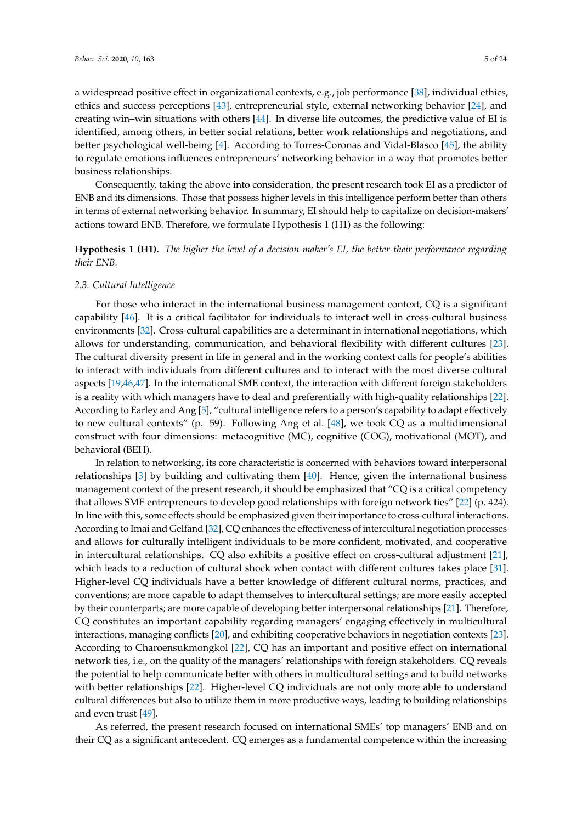a widespread positive effect in organizational contexts, e.g., job performance [\[38\]](#page-21-0), individual ethics, ethics and success perceptions [\[43\]](#page-21-5), entrepreneurial style, external networking behavior [\[24\]](#page-20-9), and creating win–win situations with others [\[44\]](#page-21-6). In diverse life outcomes, the predictive value of EI is identified, among others, in better social relations, better work relationships and negotiations, and better psychological well-being [\[4\]](#page-19-3). According to Torres-Coronas and Vidal-Blasco [\[45\]](#page-21-7), the ability to regulate emotions influences entrepreneurs' networking behavior in a way that promotes better business relationships.

Consequently, taking the above into consideration, the present research took EI as a predictor of ENB and its dimensions. Those that possess higher levels in this intelligence perform better than others in terms of external networking behavior. In summary, EI should help to capitalize on decision-makers' actions toward ENB. Therefore, we formulate Hypothesis 1 (H1) as the following:

**Hypothesis 1 (H1).** *The higher the level of a decision-maker's EI, the better their performance regarding their ENB.*

#### *2.3. Cultural Intelligence*

For those who interact in the international business management context, CQ is a significant capability [\[46\]](#page-21-8). It is a critical facilitator for individuals to interact well in cross-cultural business environments [\[32\]](#page-20-17). Cross-cultural capabilities are a determinant in international negotiations, which allows for understanding, communication, and behavioral flexibility with different cultures [\[23\]](#page-20-8). The cultural diversity present in life in general and in the working context calls for people's abilities to interact with individuals from different cultures and to interact with the most diverse cultural aspects [\[19,](#page-20-4)[46,](#page-21-8)[47\]](#page-21-9). In the international SME context, the interaction with different foreign stakeholders is a reality with which managers have to deal and preferentially with high-quality relationships [\[22\]](#page-20-7). According to Earley and Ang [\[5\]](#page-19-4), "cultural intelligence refers to a person's capability to adapt effectively to new cultural contexts" (p. 59). Following Ang et al. [\[48\]](#page-21-10), we took CQ as a multidimensional construct with four dimensions: metacognitive (MC), cognitive (COG), motivational (MOT), and behavioral (BEH).

In relation to networking, its core characteristic is concerned with behaviors toward interpersonal relationships [\[3\]](#page-19-2) by building and cultivating them [\[40\]](#page-21-2). Hence, given the international business management context of the present research, it should be emphasized that "CQ is a critical competency that allows SME entrepreneurs to develop good relationships with foreign network ties" [\[22\]](#page-20-7) (p. 424). In line with this, some effects should be emphasized given their importance to cross-cultural interactions. According to Imai and Gelfand [\[32\]](#page-20-17), CQ enhances the effectiveness of intercultural negotiation processes and allows for culturally intelligent individuals to be more confident, motivated, and cooperative in intercultural relationships. CQ also exhibits a positive effect on cross-cultural adjustment [\[21\]](#page-20-6), which leads to a reduction of cultural shock when contact with different cultures takes place [\[31\]](#page-20-16). Higher-level CQ individuals have a better knowledge of different cultural norms, practices, and conventions; are more capable to adapt themselves to intercultural settings; are more easily accepted by their counterparts; are more capable of developing better interpersonal relationships [\[21\]](#page-20-6). Therefore, CQ constitutes an important capability regarding managers' engaging effectively in multicultural interactions, managing conflicts [\[20\]](#page-20-5), and exhibiting cooperative behaviors in negotiation contexts [\[23\]](#page-20-8). According to Charoensukmongkol [\[22\]](#page-20-7), CQ has an important and positive effect on international network ties, i.e., on the quality of the managers' relationships with foreign stakeholders. CQ reveals the potential to help communicate better with others in multicultural settings and to build networks with better relationships [\[22\]](#page-20-7). Higher-level CQ individuals are not only more able to understand cultural differences but also to utilize them in more productive ways, leading to building relationships and even trust [\[49\]](#page-21-11).

As referred, the present research focused on international SMEs' top managers' ENB and on their CQ as a significant antecedent. CQ emerges as a fundamental competence within the increasing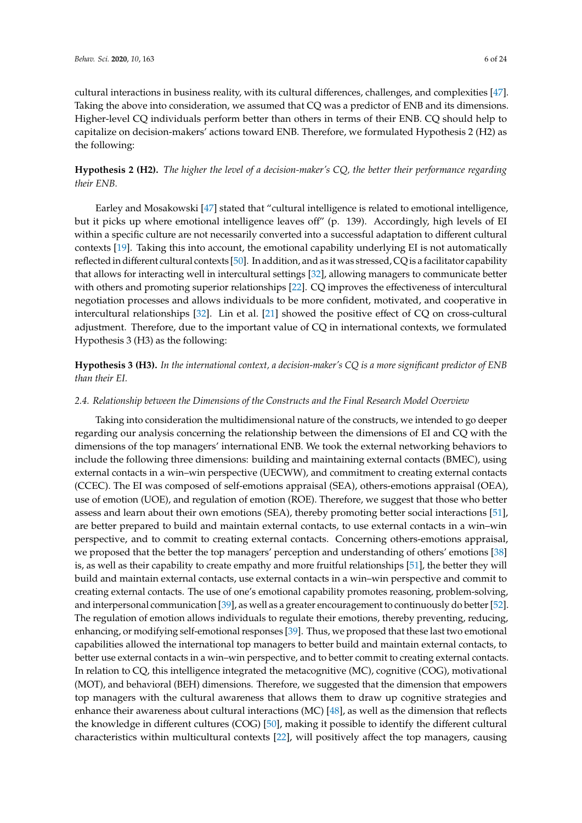cultural interactions in business reality, with its cultural differences, challenges, and complexities [\[47\]](#page-21-9). Taking the above into consideration, we assumed that CQ was a predictor of ENB and its dimensions. Higher-level CQ individuals perform better than others in terms of their ENB. CQ should help to capitalize on decision-makers' actions toward ENB. Therefore, we formulated Hypothesis 2 (H2) as the following:

# **Hypothesis 2 (H2).** *The higher the level of a decision-maker's CQ, the better their performance regarding their ENB.*

Earley and Mosakowski [\[47\]](#page-21-9) stated that "cultural intelligence is related to emotional intelligence, but it picks up where emotional intelligence leaves off" (p. 139). Accordingly, high levels of EI within a specific culture are not necessarily converted into a successful adaptation to different cultural contexts [\[19\]](#page-20-4). Taking this into account, the emotional capability underlying EI is not automatically reflected in different cultural contexts [\[50\]](#page-21-12). In addition, and as it was stressed, CQ is a facilitator capability that allows for interacting well in intercultural settings [\[32\]](#page-20-17), allowing managers to communicate better with others and promoting superior relationships [\[22\]](#page-20-7). CQ improves the effectiveness of intercultural negotiation processes and allows individuals to be more confident, motivated, and cooperative in intercultural relationships [\[32\]](#page-20-17). Lin et al. [\[21\]](#page-20-6) showed the positive effect of CQ on cross-cultural adjustment. Therefore, due to the important value of CQ in international contexts, we formulated Hypothesis 3 (H3) as the following:

**Hypothesis 3 (H3).** *In the international context, a decision-maker's CQ is a more significant predictor of ENB than their EI.*

#### *2.4. Relationship between the Dimensions of the Constructs and the Final Research Model Overview*

Taking into consideration the multidimensional nature of the constructs, we intended to go deeper regarding our analysis concerning the relationship between the dimensions of EI and CQ with the dimensions of the top managers' international ENB. We took the external networking behaviors to include the following three dimensions: building and maintaining external contacts (BMEC), using external contacts in a win–win perspective (UECWW), and commitment to creating external contacts (CCEC). The EI was composed of self-emotions appraisal (SEA), others-emotions appraisal (OEA), use of emotion (UOE), and regulation of emotion (ROE). Therefore, we suggest that those who better assess and learn about their own emotions (SEA), thereby promoting better social interactions [\[51\]](#page-21-13), are better prepared to build and maintain external contacts, to use external contacts in a win–win perspective, and to commit to creating external contacts. Concerning others-emotions appraisal, we proposed that the better the top managers' perception and understanding of others' emotions [\[38\]](#page-21-0) is, as well as their capability to create empathy and more fruitful relationships [\[51\]](#page-21-13), the better they will build and maintain external contacts, use external contacts in a win–win perspective and commit to creating external contacts. The use of one's emotional capability promotes reasoning, problem-solving, and interpersonal communication [\[39\]](#page-21-1), as well as a greater encouragement to continuously do better [\[52\]](#page-21-14). The regulation of emotion allows individuals to regulate their emotions, thereby preventing, reducing, enhancing, or modifying self-emotional responses [\[39\]](#page-21-1). Thus, we proposed that these last two emotional capabilities allowed the international top managers to better build and maintain external contacts, to better use external contacts in a win–win perspective, and to better commit to creating external contacts. In relation to CQ, this intelligence integrated the metacognitive (MC), cognitive (COG), motivational (MOT), and behavioral (BEH) dimensions. Therefore, we suggested that the dimension that empowers top managers with the cultural awareness that allows them to draw up cognitive strategies and enhance their awareness about cultural interactions (MC) [\[48\]](#page-21-10), as well as the dimension that reflects the knowledge in different cultures (COG) [\[50\]](#page-21-12), making it possible to identify the different cultural characteristics within multicultural contexts [\[22\]](#page-20-7), will positively affect the top managers, causing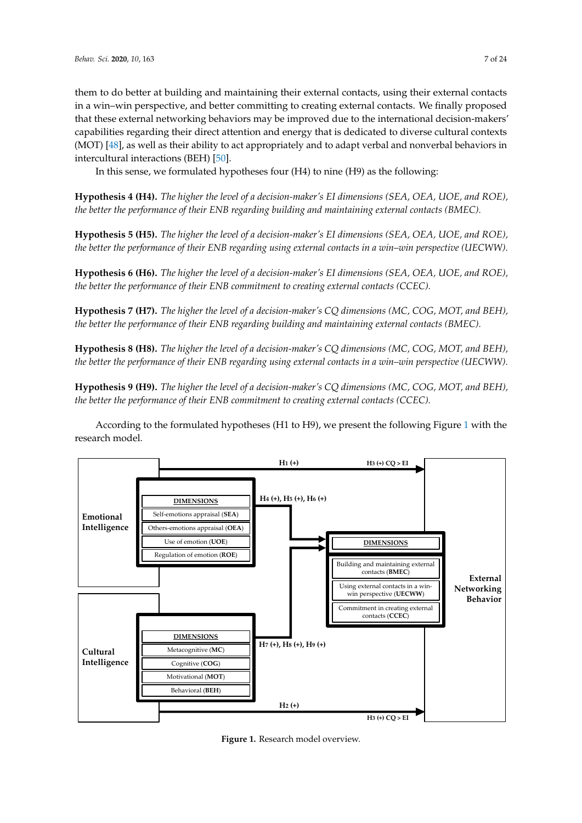them to do better at building and maintaining their external contacts, using their external contacts in a win–win perspective, and better committing to creating external contacts. We finally proposed that these external networking behaviors may be improved due to the international decision-makers' capabilities regarding their direct attention and energy that is dedicated to diverse cultural contexts (MOT) [\[48\]](#page-21-10), as well as their ability to act appropriately and to adapt verbal and nonverbal behaviors in intercultural interactions (BEH) [\[50\]](#page-21-12).

In this sense, we formulated hypotheses four (H4) to nine (H9) as the following:

**Hypothesis 4 (H4).** The higher the level of a decision-maker's EI dimensions (SEA, OEA, UOE, and ROE),  $\mu_{\text{tot}}$ *the better the performance of their ENB regarding building and maintaining external contacts (BMEC). the better the performance of their ENB regarding building and maintaining external contacts (BMEC).*

**Hypothesis 5 (H5).** The higher the level of a decision-maker's EI dimensions (SEA, OEA, UOE, and ROE),  $\mu$ the better the performance of their ENB regarding using external contacts in a win–win perspective (UECWW).

**Hypothesis 6 (H6).** The higher the level of a decision-maker's EI dimensions (SEA, OEA, UOE, and ROE),  $\mu_{\text{tot}}$ *the better the performance of their ENB commitment to creating external contacts (CCEC). the better the performance of their ENB commitment to creating external contacts (CCEC).* 

**Hypothesis 7 (H7).** The higher the level of a decision-maker's CQ dimensions (MC, COG, MOT, and BEH),  $\mu_{\text{tot}}$ *the better the performance of their ENB regarding building and maintaining external contacts (BMEC). the better the performance of their ENB regarding building and maintaining external contacts (BMEC).* 

**Hypothesis 8 (H8).** The higher the level of a decision-maker's CQ dimensions (MC, COG, MOT, and BEH),  $\mu$ the better the performance of their ENB regarding using external contacts in a win–win perspective (UECWW).

**Hypothesis 9 (H9).** The higher the level of a decision-maker's CQ dimensions (MC, COG, MOT, and BEH),  $\mu_{\rm{tot}}$ *the better the performance of their ENB commitment to creating external contacts (CCEC). the better the performance of their ENB commitment to creating external contacts (CCEC).* 

According to the formulated hypotheses (H[1](#page-6-0) to H9), we present the following Figure 1 with the research model. research model.

<span id="page-6-0"></span>

**Figure 1.** Research model overview. **Figure 1.** Research model overview.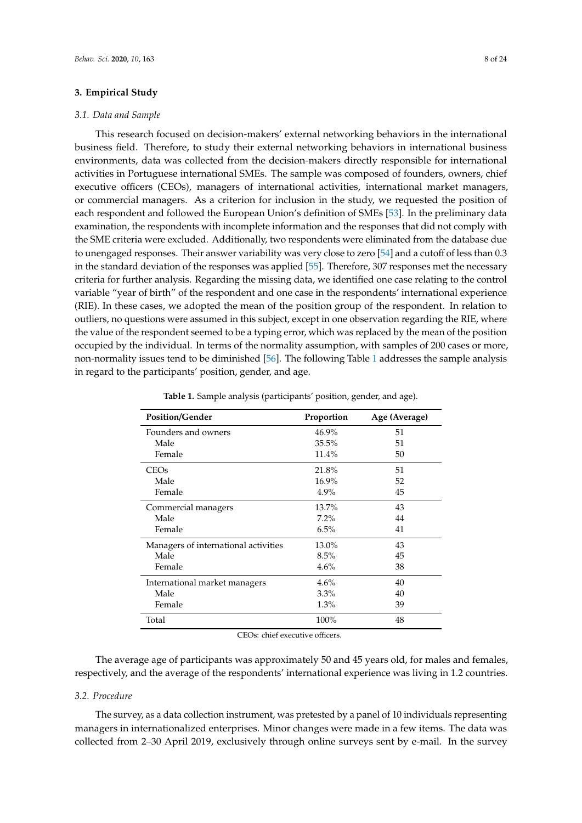# <span id="page-7-0"></span>**3. Empirical Study**

#### *3.1. Data and Sample*

This research focused on decision-makers' external networking behaviors in the international business field. Therefore, to study their external networking behaviors in international business environments, data was collected from the decision-makers directly responsible for international activities in Portuguese international SMEs. The sample was composed of founders, owners, chief executive officers (CEOs), managers of international activities, international market managers, or commercial managers. As a criterion for inclusion in the study, we requested the position of each respondent and followed the European Union's definition of SMEs [\[53\]](#page-21-15). In the preliminary data examination, the respondents with incomplete information and the responses that did not comply with the SME criteria were excluded. Additionally, two respondents were eliminated from the database due to unengaged responses. Their answer variability was very close to zero [\[54\]](#page-21-16) and a cutoff of less than 0.3 in the standard deviation of the responses was applied [\[55\]](#page-21-17). Therefore, 307 responses met the necessary criteria for further analysis. Regarding the missing data, we identified one case relating to the control variable "year of birth" of the respondent and one case in the respondents' international experience (RIE). In these cases, we adopted the mean of the position group of the respondent. In relation to outliers, no questions were assumed in this subject, except in one observation regarding the RIE, where the value of the respondent seemed to be a typing error, which was replaced by the mean of the position occupied by the individual. In terms of the normality assumption, with samples of 200 cases or more, non-normality issues tend to be diminished [\[56\]](#page-21-18). The following Table [1](#page-7-1) addresses the sample analysis in regard to the participants' position, gender, and age.

<span id="page-7-1"></span>

| <b>Position/Gender</b>               | Proportion | Age (Average) |
|--------------------------------------|------------|---------------|
| Founders and owners                  | 46.9%      | 51            |
| Male                                 | 35.5%      | 51            |
| Female                               | 11.4%      | 50            |
| CEOs                                 | 21.8%      | 51            |
| Male                                 | 16.9%      | 52            |
| Female                               | $4.9\%$    | 45            |
| Commercial managers                  | 13.7%      | 43            |
| Male                                 | 7.2%       | 44            |
| Female                               | 6.5%       | 41            |
| Managers of international activities | 13.0%      | 43            |
| Male                                 | 8.5%       | 45            |
| Female                               | 4.6%       | 38            |
| International market managers        | 4.6%       | 40            |
| Male                                 | $3.3\%$    | 40            |
| Female                               | $1.3\%$    | 39            |
| Total                                | 100%       | 48            |

**Table 1.** Sample analysis (participants' position, gender, and age).

CEOs: chief executive officers.

The average age of participants was approximately 50 and 45 years old, for males and females, respectively, and the average of the respondents' international experience was living in 1.2 countries.

#### *3.2. Procedure*

The survey, as a data collection instrument, was pretested by a panel of 10 individuals representing managers in internationalized enterprises. Minor changes were made in a few items. The data was collected from 2–30 April 2019, exclusively through online surveys sent by e-mail. In the survey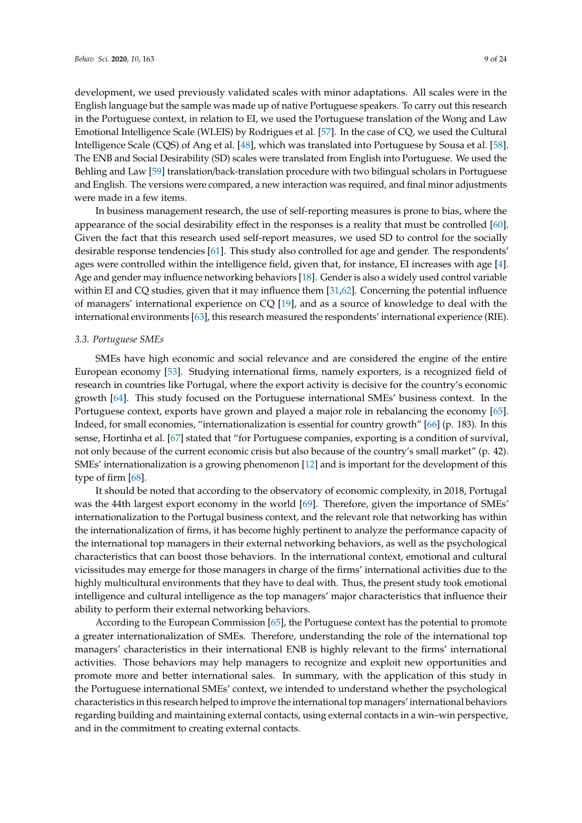development, we used previously validated scales with minor adaptations. All scales were in the English language but the sample was made up of native Portuguese speakers. To carry out this research in the Portuguese context, in relation to EI, we used the Portuguese translation of the Wong and Law Emotional Intelligence Scale (WLEIS) by Rodrigues et al. [\[57\]](#page-21-19). In the case of CQ, we used the Cultural Intelligence Scale (CQS) of Ang et al. [\[48\]](#page-21-10), which was translated into Portuguese by Sousa et al. [\[58\]](#page-21-20). The ENB and Social Desirability (SD) scales were translated from English into Portuguese. We used the Behling and Law [\[59\]](#page-21-21) translation/back-translation procedure with two bilingual scholars in Portuguese and English. The versions were compared, a new interaction was required, and final minor adjustments were made in a few items.

In business management research, the use of self-reporting measures is prone to bias, where the appearance of the social desirability effect in the responses is a reality that must be controlled [\[60\]](#page-22-0). Given the fact that this research used self-report measures, we used SD to control for the socially desirable response tendencies [\[61\]](#page-22-1). This study also controlled for age and gender. The respondents' ages were controlled within the intelligence field, given that, for instance, EI increases with age [\[4\]](#page-19-3). Age and gender may influence networking behaviors [\[18\]](#page-20-3). Gender is also a widely used control variable within EI and CQ studies, given that it may influence them [\[31,](#page-20-16)[62\]](#page-22-2). Concerning the potential influence of managers' international experience on CQ [\[19\]](#page-20-4), and as a source of knowledge to deal with the international environments [\[63\]](#page-22-3), this research measured the respondents' international experience (RIE).

#### *3.3. Portuguese SMEs*

SMEs have high economic and social relevance and are considered the engine of the entire European economy [\[53\]](#page-21-15). Studying international firms, namely exporters, is a recognized field of research in countries like Portugal, where the export activity is decisive for the country's economic growth [\[64\]](#page-22-4). This study focused on the Portuguese international SMEs' business context. In the Portuguese context, exports have grown and played a major role in rebalancing the economy [\[65\]](#page-22-5). Indeed, for small economies, "internationalization is essential for country growth" [\[66\]](#page-22-6) (p. 183). In this sense, Hortinha et al. [\[67\]](#page-22-7) stated that "for Portuguese companies, exporting is a condition of survival, not only because of the current economic crisis but also because of the country's small market" (p. 42). SMEs' internationalization is a growing phenomenon [\[12\]](#page-19-13) and is important for the development of this type of firm [\[68\]](#page-22-8).

It should be noted that according to the observatory of economic complexity, in 2018, Portugal was the 44th largest export economy in the world [\[69\]](#page-22-9). Therefore, given the importance of SMEs' internationalization to the Portugal business context, and the relevant role that networking has within the internationalization of firms, it has become highly pertinent to analyze the performance capacity of the international top managers in their external networking behaviors, as well as the psychological characteristics that can boost those behaviors. In the international context, emotional and cultural vicissitudes may emerge for those managers in charge of the firms' international activities due to the highly multicultural environments that they have to deal with. Thus, the present study took emotional intelligence and cultural intelligence as the top managers' major characteristics that influence their ability to perform their external networking behaviors.

According to the European Commission [\[65\]](#page-22-5), the Portuguese context has the potential to promote a greater internationalization of SMEs. Therefore, understanding the role of the international top managers' characteristics in their international ENB is highly relevant to the firms' international activities. Those behaviors may help managers to recognize and exploit new opportunities and promote more and better international sales. In summary, with the application of this study in the Portuguese international SMEs' context, we intended to understand whether the psychological characteristics in this research helped to improve the international top managers' international behaviors regarding building and maintaining external contacts, using external contacts in a win–win perspective, and in the commitment to creating external contacts.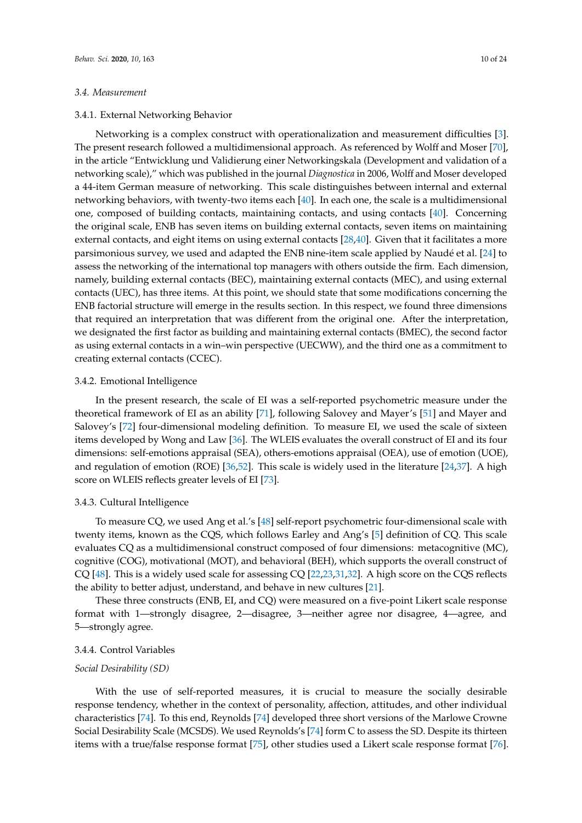#### *3.4. Measurement*

# 3.4.1. External Networking Behavior

Networking is a complex construct with operationalization and measurement difficulties [\[3\]](#page-19-2). The present research followed a multidimensional approach. As referenced by Wolff and Moser [\[70\]](#page-22-10), in the article "Entwicklung und Validierung einer Networkingskala (Development and validation of a networking scale)," which was published in the journal *Diagnostica* in 2006, Wolff and Moser developed a 44-item German measure of networking. This scale distinguishes between internal and external networking behaviors, with twenty-two items each [\[40\]](#page-21-2). In each one, the scale is a multidimensional one, composed of building contacts, maintaining contacts, and using contacts [\[40\]](#page-21-2). Concerning the original scale, ENB has seven items on building external contacts, seven items on maintaining external contacts, and eight items on using external contacts [\[28,](#page-20-13)[40\]](#page-21-2). Given that it facilitates a more parsimonious survey, we used and adapted the ENB nine-item scale applied by Naudé et al. [\[24\]](#page-20-9) to assess the networking of the international top managers with others outside the firm. Each dimension, namely, building external contacts (BEC), maintaining external contacts (MEC), and using external contacts (UEC), has three items. At this point, we should state that some modifications concerning the ENB factorial structure will emerge in the results section. In this respect, we found three dimensions that required an interpretation that was different from the original one. After the interpretation, we designated the first factor as building and maintaining external contacts (BMEC), the second factor as using external contacts in a win–win perspective (UECWW), and the third one as a commitment to creating external contacts (CCEC).

# 3.4.2. Emotional Intelligence

In the present research, the scale of EI was a self-reported psychometric measure under the theoretical framework of EI as an ability [\[71\]](#page-22-11), following Salovey and Mayer's [\[51\]](#page-21-13) and Mayer and Salovey's [\[72\]](#page-22-12) four-dimensional modeling definition. To measure EI, we used the scale of sixteen items developed by Wong and Law [\[36\]](#page-20-21). The WLEIS evaluates the overall construct of EI and its four dimensions: self-emotions appraisal (SEA), others-emotions appraisal (OEA), use of emotion (UOE), and regulation of emotion (ROE) [\[36,](#page-20-21)[52\]](#page-21-14). This scale is widely used in the literature [\[24](#page-20-9)[,37\]](#page-20-22). A high score on WLEIS reflects greater levels of EI [\[73\]](#page-22-13).

#### 3.4.3. Cultural Intelligence

To measure CQ, we used Ang et al.'s [\[48\]](#page-21-10) self-report psychometric four-dimensional scale with twenty items, known as the CQS, which follows Earley and Ang's [\[5\]](#page-19-4) definition of CQ. This scale evaluates CQ as a multidimensional construct composed of four dimensions: metacognitive (MC), cognitive (COG), motivational (MOT), and behavioral (BEH), which supports the overall construct of CQ [\[48\]](#page-21-10). This is a widely used scale for assessing CQ [\[22,](#page-20-7)[23](#page-20-8)[,31,](#page-20-16)[32\]](#page-20-17). A high score on the CQS reflects the ability to better adjust, understand, and behave in new cultures [\[21\]](#page-20-6).

These three constructs (ENB, EI, and CQ) were measured on a five-point Likert scale response format with 1—strongly disagree, 2—disagree, 3—neither agree nor disagree, 4—agree, and 5—strongly agree.

#### 3.4.4. Control Variables

#### *Social Desirability (SD)*

With the use of self-reported measures, it is crucial to measure the socially desirable response tendency, whether in the context of personality, affection, attitudes, and other individual characteristics [\[74\]](#page-22-14). To this end, Reynolds [\[74\]](#page-22-14) developed three short versions of the Marlowe Crowne Social Desirability Scale (MCSDS). We used Reynolds's [\[74\]](#page-22-14) form C to assess the SD. Despite its thirteen items with a true/false response format [\[75\]](#page-22-15), other studies used a Likert scale response format [\[76\]](#page-22-16).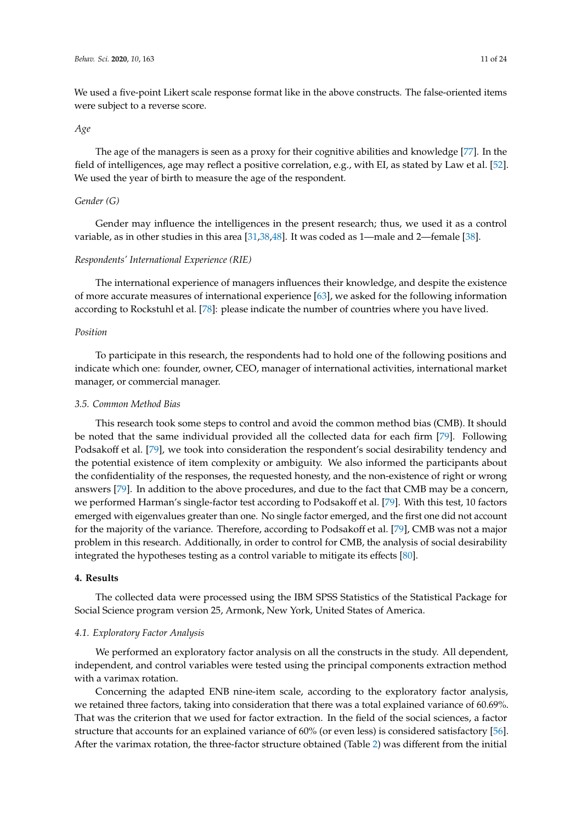We used a five-point Likert scale response format like in the above constructs. The false-oriented items were subject to a reverse score.

# *Age*

The age of the managers is seen as a proxy for their cognitive abilities and knowledge [\[77\]](#page-22-17). In the field of intelligences, age may reflect a positive correlation, e.g., with EI, as stated by Law et al. [\[52\]](#page-21-14). We used the year of birth to measure the age of the respondent.

# *Gender (G)*

Gender may influence the intelligences in the present research; thus, we used it as a control variable, as in other studies in this area [\[31](#page-20-16)[,38](#page-21-0)[,48\]](#page-21-10). It was coded as 1—male and 2—female [\[38\]](#page-21-0).

# *Respondents' International Experience (RIE)*

The international experience of managers influences their knowledge, and despite the existence of more accurate measures of international experience [\[63\]](#page-22-3), we asked for the following information according to Rockstuhl et al. [\[78\]](#page-22-18): please indicate the number of countries where you have lived.

#### *Position*

To participate in this research, the respondents had to hold one of the following positions and indicate which one: founder, owner, CEO, manager of international activities, international market manager, or commercial manager.

#### *3.5. Common Method Bias*

This research took some steps to control and avoid the common method bias (CMB). It should be noted that the same individual provided all the collected data for each firm [\[79\]](#page-22-19). Following Podsakoff et al. [\[79\]](#page-22-19), we took into consideration the respondent's social desirability tendency and the potential existence of item complexity or ambiguity. We also informed the participants about the confidentiality of the responses, the requested honesty, and the non-existence of right or wrong answers [\[79\]](#page-22-19). In addition to the above procedures, and due to the fact that CMB may be a concern, we performed Harman's single-factor test according to Podsakoff et al. [\[79\]](#page-22-19). With this test, 10 factors emerged with eigenvalues greater than one. No single factor emerged, and the first one did not account for the majority of the variance. Therefore, according to Podsakoff et al. [\[79\]](#page-22-19), CMB was not a major problem in this research. Additionally, in order to control for CMB, the analysis of social desirability integrated the hypotheses testing as a control variable to mitigate its effects [\[80\]](#page-22-20).

#### <span id="page-10-0"></span>**4. Results**

The collected data were processed using the IBM SPSS Statistics of the Statistical Package for Social Science program version 25, Armonk, New York, United States of America.

# *4.1. Exploratory Factor Analysis*

We performed an exploratory factor analysis on all the constructs in the study. All dependent, independent, and control variables were tested using the principal components extraction method with a varimax rotation.

Concerning the adapted ENB nine-item scale, according to the exploratory factor analysis, we retained three factors, taking into consideration that there was a total explained variance of 60.69%. That was the criterion that we used for factor extraction. In the field of the social sciences, a factor structure that accounts for an explained variance of 60% (or even less) is considered satisfactory [\[56\]](#page-21-18). After the varimax rotation, the three-factor structure obtained (Table [2\)](#page-11-0) was different from the initial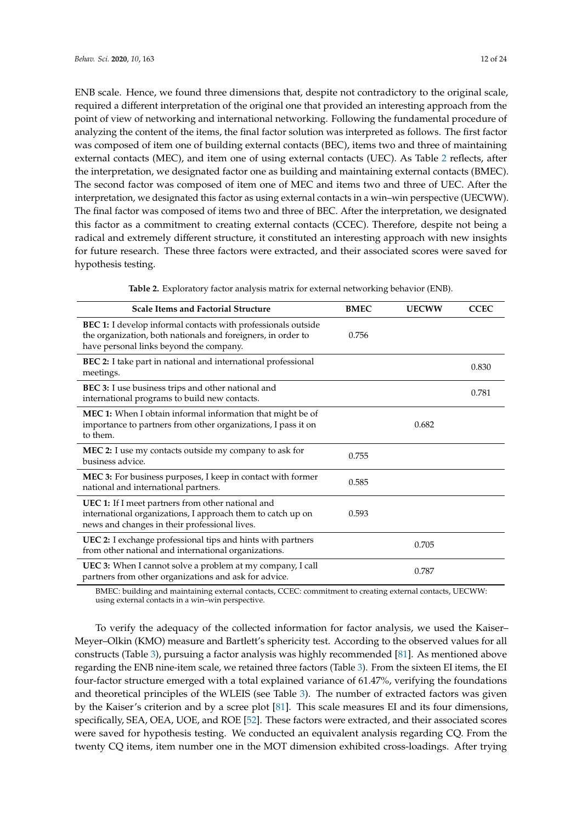analyzing the content of the items, the final factor solution was interpreted as follows. The first factor was composed of item one of building external contacts (BEC), items two and three of maintaining external contacts (MEC), and item one of using external contacts (UEC). As Table [2](#page-11-0) reflects, after the interpretation, we designated factor one as building and maintaining external contacts (BMEC). The second factor was composed of item one of MEC and items two and three of UEC. After the interpretation, we designated this factor as using external contacts in a win–win perspective (UECWW). The final factor was composed of items two and three of BEC. After the interpretation, we designated this factor as a commitment to creating external contacts (CCEC). Therefore, despite not being a radical and extremely different structure, it constituted an interesting approach with new insights for future research. These three factors were extracted, and their associated scores were saved for hypothesis testing.

<span id="page-11-0"></span>

| <b>Scale Items and Factorial Structure</b>                                                                                                                                      | <b>BMEC</b> | <b>UECWW</b> | <b>CCEC</b> |
|---------------------------------------------------------------------------------------------------------------------------------------------------------------------------------|-------------|--------------|-------------|
| <b>BEC 1:</b> I develop informal contacts with professionals outside<br>the organization, both nationals and foreigners, in order to<br>have personal links beyond the company. | 0.756       |              |             |
| <b>BEC 2:</b> I take part in national and international professional<br>meetings.                                                                                               |             |              | 0.830       |
| <b>BEC 3:</b> I use business trips and other national and<br>international programs to build new contacts.                                                                      |             |              | 0.781       |
| MEC 1: When I obtain informal information that might be of<br>importance to partners from other organizations, I pass it on<br>to them.                                         |             | 0.682        |             |
| MEC 2: I use my contacts outside my company to ask for<br>business advice.                                                                                                      | 0.755       |              |             |
| MEC 3: For business purposes, I keep in contact with former<br>national and international partners.                                                                             | 0.585       |              |             |
| UEC 1: If I meet partners from other national and<br>international organizations, I approach them to catch up on<br>news and changes in their professional lives.               | 0.593       |              |             |
| UEC 2: I exchange professional tips and hints with partners<br>from other national and international organizations.                                                             |             | 0.705        |             |
| UEC 3: When I cannot solve a problem at my company, I call<br>partners from other organizations and ask for advice.                                                             |             | 0.787        |             |

|  |  |  | Table 2. Exploratory factor analysis matrix for external networking behavior (ENB). |  |  |  |  |  |
|--|--|--|-------------------------------------------------------------------------------------|--|--|--|--|--|
|--|--|--|-------------------------------------------------------------------------------------|--|--|--|--|--|

BMEC: building and maintaining external contacts, CCEC: commitment to creating external contacts, UECWW: using external contacts in a win–win perspective.

To verify the adequacy of the collected information for factor analysis, we used the Kaiser– Meyer–Olkin (KMO) measure and Bartlett's sphericity test. According to the observed values for all constructs (Table [3\)](#page-12-0), pursuing a factor analysis was highly recommended [\[81\]](#page-22-21). As mentioned above regarding the ENB nine-item scale, we retained three factors (Table [3\)](#page-12-0). From the sixteen EI items, the EI four-factor structure emerged with a total explained variance of 61.47%, verifying the foundations and theoretical principles of the WLEIS (see Table [3\)](#page-12-0). The number of extracted factors was given by the Kaiser's criterion and by a scree plot [\[81\]](#page-22-21). This scale measures EI and its four dimensions, specifically, SEA, OEA, UOE, and ROE [\[52\]](#page-21-14). These factors were extracted, and their associated scores were saved for hypothesis testing. We conducted an equivalent analysis regarding CQ. From the twenty CQ items, item number one in the MOT dimension exhibited cross-loadings. After trying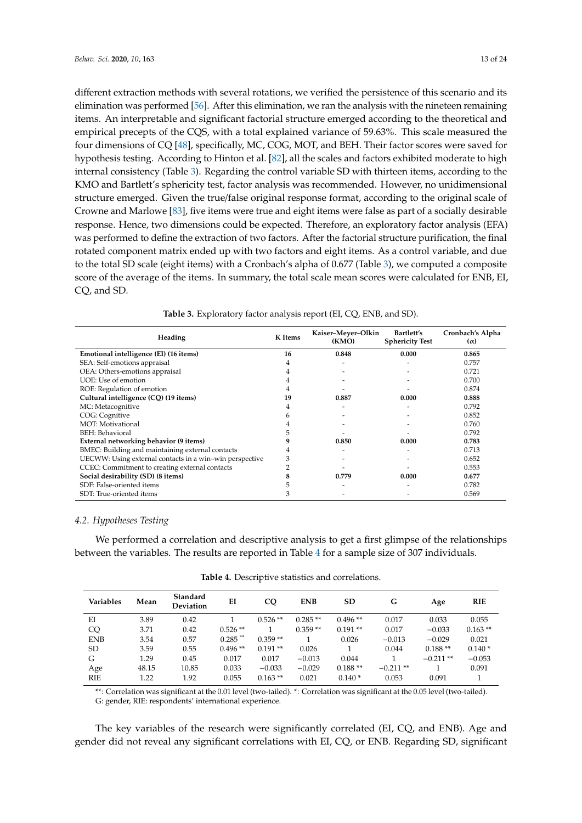different extraction methods with several rotations, we verified the persistence of this scenario and its elimination was performed [\[56\]](#page-21-18). After this elimination, we ran the analysis with the nineteen remaining items. An interpretable and significant factorial structure emerged according to the theoretical and empirical precepts of the CQS, with a total explained variance of 59.63%. This scale measured the four dimensions of CQ [\[48\]](#page-21-10), specifically, MC, COG, MOT, and BEH. Their factor scores were saved for hypothesis testing. According to Hinton et al. [\[82\]](#page-22-22), all the scales and factors exhibited moderate to high internal consistency (Table [3\)](#page-12-0). Regarding the control variable SD with thirteen items, according to the KMO and Bartlett's sphericity test, factor analysis was recommended. However, no unidimensional structure emerged. Given the true/false original response format, according to the original scale of Crowne and Marlowe [\[83\]](#page-22-23), five items were true and eight items were false as part of a socially desirable response. Hence, two dimensions could be expected. Therefore, an exploratory factor analysis (EFA) was performed to define the extraction of two factors. After the factorial structure purification, the final rotated component matrix ended up with two factors and eight items. As a control variable, and due to the total SD scale (eight items) with a Cronbach's alpha of 0.677 (Table [3\)](#page-12-0), we computed a composite score of the average of the items. In summary, the total scale mean scores were calculated for ENB, EI, CQ, and SD.

<span id="page-12-0"></span>

| Heading                                                 | <b>K</b> Items | Kaiser-Meyer-Olkin<br>(KMO) | Bartlett's<br><b>Sphericity Test</b> | Cronbach's Alpha<br>$(\alpha)$ |
|---------------------------------------------------------|----------------|-----------------------------|--------------------------------------|--------------------------------|
| Emotional intelligence (EI) (16 items)                  | 16             | 0.848                       | 0.000                                | 0.865                          |
| SEA: Self-emotions appraisal                            | 4              |                             |                                      | 0.757                          |
| OEA: Others-emotions appraisal                          | 4              |                             |                                      | 0.721                          |
| UOE: Use of emotion                                     | 4              |                             |                                      | 0.700                          |
| ROE: Regulation of emotion                              |                |                             |                                      | 0.874                          |
| Cultural intelligence (CQ) (19 items)                   | 19             | 0.887                       | 0.000                                | 0.888                          |
| MC: Metacognitive                                       | 4              |                             |                                      | 0.792                          |
| COG: Cognitive                                          |                |                             |                                      | 0.852                          |
| <b>MOT:</b> Motivational                                |                |                             |                                      | 0.760                          |
| BEH: Behavioral                                         |                |                             |                                      | 0.792                          |
| External networking behavior (9 items)                  |                | 0.850                       | 0.000                                | 0.783                          |
| BMEC: Building and maintaining external contacts        | 4              |                             |                                      | 0.713                          |
| UECWW: Using external contacts in a win-win perspective | 3              |                             |                                      | 0.652                          |
| CCEC: Commitment to creating external contacts          |                |                             |                                      | 0.553                          |
| Social desirability (SD) (8 items)                      |                | 0.779                       | 0.000                                | 0.677                          |
| SDF: False-oriented items                               |                |                             |                                      | 0.782                          |
| SDT: True-oriented items                                |                |                             |                                      | 0.569                          |

|  | <b>Table 3.</b> Exploratory factor analysis report (EI, CQ, ENB, and SD). |  |  |  |  |  |  |  |
|--|---------------------------------------------------------------------------|--|--|--|--|--|--|--|
|--|---------------------------------------------------------------------------|--|--|--|--|--|--|--|

#### *4.2. Hypotheses Testing*

We performed a correlation and descriptive analysis to get a first glimpse of the relationships between the variables. The results are reported in Table [4](#page-12-1) for a sample size of 307 individuals.

<span id="page-12-1"></span>

| <b>Variables</b> | Mean  | Standard<br><b>Deviation</b> | EI         | CQ        | <b>ENB</b> | <b>SD</b> | G          | Age        | <b>RIE</b> |
|------------------|-------|------------------------------|------------|-----------|------------|-----------|------------|------------|------------|
| EI               | 3.89  | 0.42                         |            | $0.526**$ | $0.285**$  | $0.496**$ | 0.017      | 0.033      | 0.055      |
| <b>CQ</b>        | 3.71  | 0.42                         | $0.526$ ** |           | $0.359**$  | $0.191**$ | 0.017      | $-0.033$   | $0.163**$  |
| <b>ENB</b>       | 3.54  | 0.57                         | $0.285$ ** | $0.359**$ |            | 0.026     | $-0.013$   | $-0.029$   | 0.021      |
| <b>SD</b>        | 3.59  | 0.55                         | $0.496**$  | $0.191**$ | 0.026      |           | 0.044      | $0.188**$  | $0.140*$   |
| G                | 1.29  | 0.45                         | 0.017      | 0.017     | $-0.013$   | 0.044     |            | $-0.211**$ | $-0.053$   |
| Age              | 48.15 | 10.85                        | 0.033      | $-0.033$  | $-0.029$   | $0.188**$ | $-0.211**$ |            | 0.091      |
| <b>RIE</b>       | 1.22  | 1.92                         | 0.055      | $0.163**$ | 0.021      | $0.140*$  | 0.053      | 0.091      |            |

**Table 4.** Descriptive statistics and correlations.

\*\*: Correlation was significant at the 0.01 level (two-tailed). \*: Correlation was significant at the 0.05 level (two-tailed). G: gender, RIE: respondents' international experience.

The key variables of the research were significantly correlated (EI, CQ, and ENB). Age and gender did not reveal any significant correlations with EI, CQ, or ENB. Regarding SD, significant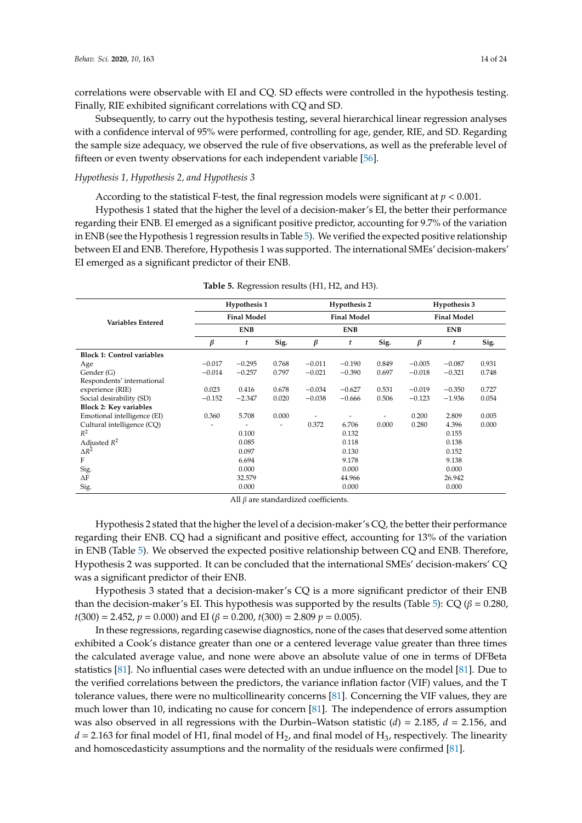correlations were observable with EI and CQ. SD effects were controlled in the hypothesis testing. Finally, RIE exhibited significant correlations with CQ and SD.

Subsequently, to carry out the hypothesis testing, several hierarchical linear regression analyses with a confidence interval of 95% were performed, controlling for age, gender, RIE, and SD. Regarding the sample size adequacy, we observed the rule of five observations, as well as the preferable level of fifteen or even twenty observations for each independent variable [\[56\]](#page-21-18).

# *Hypothesis 1, Hypothesis 2, and Hypothesis 3*

According to the statistical F-test, the final regression models were significant at *p* < 0.001.

Hypothesis 1 stated that the higher the level of a decision-maker's EI, the better their performance regarding their ENB. EI emerged as a significant positive predictor, accounting for 9.7% of the variation in ENB (see the Hypothesis 1 regression results in Table [5\)](#page-13-0). We verified the expected positive relationship between EI and ENB. Therefore, Hypothesis 1 was supported. The international SMEs' decision-makers' EI emerged as a significant predictor of their ENB.

<span id="page-13-0"></span>

|                                   |          | <b>Hypothesis 1</b> |                          |          | Hypothesis 2       |       |          | Hypothesis 3       |       |
|-----------------------------------|----------|---------------------|--------------------------|----------|--------------------|-------|----------|--------------------|-------|
|                                   |          |                     |                          |          |                    |       |          |                    |       |
| <b>Variables Entered</b>          |          | <b>Final Model</b>  |                          |          | <b>Final Model</b> |       |          | <b>Final Model</b> |       |
|                                   |          | <b>ENB</b>          |                          |          | <b>ENB</b>         |       |          | <b>ENB</b>         |       |
|                                   | β        | t                   | Sig.                     | β        | t                  | Sig.  | β        | t                  | Sig.  |
| <b>Block 1: Control variables</b> |          |                     |                          |          |                    |       |          |                    |       |
| Age                               | $-0.017$ | $-0.295$            | 0.768                    | $-0.011$ | $-0.190$           | 0.849 | $-0.005$ | $-0.087$           | 0.931 |
| Gender (G)                        | $-0.014$ | $-0.257$            | 0.797                    | $-0.021$ | $-0.390$           | 0.697 | $-0.018$ | $-0.321$           | 0.748 |
| Respondents' international        |          |                     |                          |          |                    |       |          |                    |       |
| experience (RIE)                  | 0.023    | 0.416               | 0.678                    | $-0.034$ | $-0.627$           | 0.531 | $-0.019$ | $-0.350$           | 0.727 |
| Social desirability (SD)          | $-0.152$ | $-2.347$            | 0.020                    | $-0.038$ | $-0.666$           | 0.506 | $-0.123$ | $-1.936$           | 0.054 |
| <b>Block 2: Key variables</b>     |          |                     |                          |          |                    |       |          |                    |       |
| Emotional intelligence (EI)       | 0.360    | 5.708               | 0.000                    |          |                    |       | 0.200    | 2.809              | 0.005 |
| Cultural intelligence (CQ)        |          |                     | $\overline{\phantom{a}}$ | 0.372    | 6.706              | 0.000 | 0.280    | 4.396              | 0.000 |
| $R^2$                             |          | 0.100               |                          |          | 0.132              |       |          | 0.155              |       |
| Adjusted $R^2$                    |          | 0.085               |                          |          | 0.118              |       |          | 0.138              |       |
| $\Delta R^2$                      |          | 0.097               |                          |          | 0.130              |       |          | 0.152              |       |
| F                                 |          | 6.694               |                          |          | 9.178              |       |          | 9.138              |       |
| Sig.                              |          | 0.000               |                          |          | 0.000              |       |          | 0.000              |       |
| ΔF                                |          | 32.579              |                          |          | 44.966             |       |          | 26.942             |       |
| Sig.                              |          | 0.000               |                          |          | 0.000              |       |          | 0.000              |       |

|  | Table 5. Regression results (H1, H2, and H3). |  |  |  |
|--|-----------------------------------------------|--|--|--|
|--|-----------------------------------------------|--|--|--|

All  $\beta$  are standardized coefficients.

Hypothesis 2 stated that the higher the level of a decision-maker's CQ, the better their performance regarding their ENB. CQ had a significant and positive effect, accounting for 13% of the variation in ENB (Table [5\)](#page-13-0). We observed the expected positive relationship between CQ and ENB. Therefore, Hypothesis 2 was supported. It can be concluded that the international SMEs' decision-makers' CQ was a significant predictor of their ENB.

Hypothesis 3 stated that a decision-maker's CQ is a more significant predictor of their ENB than the decision-maker's EI. This hypothesis was supported by the results (Table [5\)](#page-13-0): CQ (β = 0.280,  $t(300) = 2.452$ ,  $p = 0.000$ ) and EI ( $\beta = 0.200$ ,  $t(300) = 2.809$   $p = 0.005$ ).

In these regressions, regarding casewise diagnostics, none of the cases that deserved some attention exhibited a Cook's distance greater than one or a centered leverage value greater than three times the calculated average value, and none were above an absolute value of one in terms of DFBeta statistics [\[81\]](#page-22-21). No influential cases were detected with an undue influence on the model [\[81\]](#page-22-21). Due to the verified correlations between the predictors, the variance inflation factor (VIF) values, and the T tolerance values, there were no multicollinearity concerns [\[81\]](#page-22-21). Concerning the VIF values, they are much lower than 10, indicating no cause for concern [\[81\]](#page-22-21). The independence of errors assumption was also observed in all regressions with the Durbin–Watson statistic (*d*) = 2.185, *d* = 2.156, and  $d = 2.163$  for final model of H1, final model of H<sub>2</sub>, and final model of H<sub>3</sub>, respectively. The linearity and homoscedasticity assumptions and the normality of the residuals were confirmed [\[81\]](#page-22-21).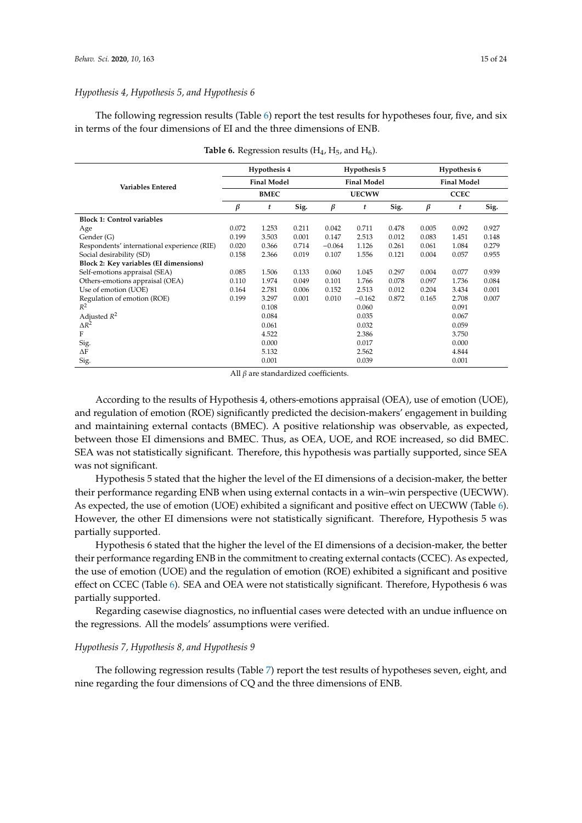#### *Hypothesis 4, Hypothesis 5, and Hypothesis 6*

The following regression results (Table [6\)](#page-14-0) report the test results for hypotheses four, five, and six in terms of the four dimensions of EI and the three dimensions of ENB.

<span id="page-14-0"></span>

|                                             |       | Hypothesis 4       |       |          | <b>Hypothesis 5</b> |       |       | Hypothesis 6       |       |
|---------------------------------------------|-------|--------------------|-------|----------|---------------------|-------|-------|--------------------|-------|
| <b>Variables Entered</b>                    |       | <b>Final Model</b> |       |          | <b>Final Model</b>  |       |       | <b>Final Model</b> |       |
|                                             |       | <b>BMEC</b>        |       |          | <b>UECWW</b>        |       |       | <b>CCEC</b>        |       |
|                                             | β     | t                  | Sig.  | β        | t                   | Sig.  | β     | t                  | Sig.  |
| <b>Block 1: Control variables</b>           |       |                    |       |          |                     |       |       |                    |       |
| Age                                         | 0.072 | 1.253              | 0.211 | 0.042    | 0.711               | 0.478 | 0.005 | 0.092              | 0.927 |
| Gender (G)                                  | 0.199 | 3.503              | 0.001 | 0.147    | 2.513               | 0.012 | 0.083 | 1.451              | 0.148 |
| Respondents' international experience (RIE) | 0.020 | 0.366              | 0.714 | $-0.064$ | 1.126               | 0.261 | 0.061 | 1.084              | 0.279 |
| Social desirability (SD)                    | 0.158 | 2.366              | 0.019 | 0.107    | 1.556               | 0.121 | 0.004 | 0.057              | 0.955 |
| Block 2: Key variables (EI dimensions)      |       |                    |       |          |                     |       |       |                    |       |
| Self-emotions appraisal (SEA)               | 0.085 | 1.506              | 0.133 | 0.060    | 1.045               | 0.297 | 0.004 | 0.077              | 0.939 |
| Others-emotions appraisal (OEA)             | 0.110 | 1.974              | 0.049 | 0.101    | 1.766               | 0.078 | 0.097 | 1.736              | 0.084 |
| Use of emotion (UOE)                        | 0.164 | 2.781              | 0.006 | 0.152    | 2.513               | 0.012 | 0.204 | 3.434              | 0.001 |
| Regulation of emotion (ROE)                 | 0.199 | 3.297              | 0.001 | 0.010    | $-0.162$            | 0.872 | 0.165 | 2.708              | 0.007 |
| $R^2$                                       |       | 0.108              |       |          | 0.060               |       |       | 0.091              |       |
| Adjusted $R^2$                              |       | 0.084              |       |          | 0.035               |       |       | 0.067              |       |
| $\Delta R^2$                                |       | 0.061              |       |          | 0.032               |       |       | 0.059              |       |
| $\rm F$                                     |       | 4.522              |       |          | 2.386               |       |       | 3.750              |       |
| Sig.                                        |       | 0.000              |       |          | 0.017               |       |       | 0.000              |       |
| $\Delta F$                                  |       | 5.132              |       |          | 2.562               |       |       | 4.844              |       |
| Sig.                                        |       | 0.001              |       |          | 0.039               |       |       | 0.001              |       |

**Table 6.** Regression results  $(H_4, H_5, \text{and } H_6)$ .

All  $\beta$  are standardized coefficients.

According to the results of Hypothesis 4, others-emotions appraisal (OEA), use of emotion (UOE), and regulation of emotion (ROE) significantly predicted the decision-makers' engagement in building and maintaining external contacts (BMEC). A positive relationship was observable, as expected, between those EI dimensions and BMEC. Thus, as OEA, UOE, and ROE increased, so did BMEC. SEA was not statistically significant. Therefore, this hypothesis was partially supported, since SEA was not significant.

Hypothesis 5 stated that the higher the level of the EI dimensions of a decision-maker, the better their performance regarding ENB when using external contacts in a win–win perspective (UECWW). As expected, the use of emotion (UOE) exhibited a significant and positive effect on UECWW (Table [6\)](#page-14-0). However, the other EI dimensions were not statistically significant. Therefore, Hypothesis 5 was partially supported.

Hypothesis 6 stated that the higher the level of the EI dimensions of a decision-maker, the better their performance regarding ENB in the commitment to creating external contacts (CCEC). As expected, the use of emotion (UOE) and the regulation of emotion (ROE) exhibited a significant and positive effect on CCEC (Table [6\)](#page-14-0). SEA and OEA were not statistically significant. Therefore, Hypothesis 6 was partially supported.

Regarding casewise diagnostics, no influential cases were detected with an undue influence on the regressions. All the models' assumptions were verified.

# *Hypothesis 7, Hypothesis 8, and Hypothesis 9*

The following regression results (Table [7\)](#page-15-0) report the test results of hypotheses seven, eight, and nine regarding the four dimensions of CQ and the three dimensions of ENB.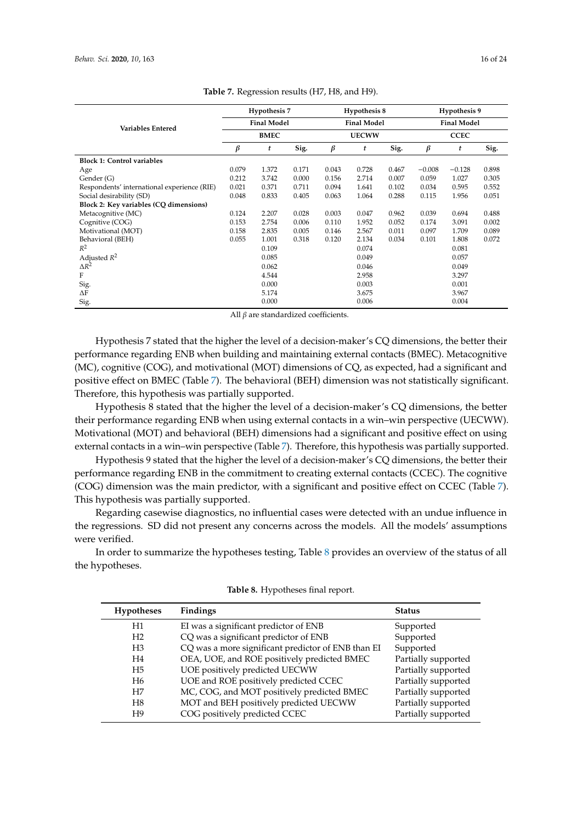<span id="page-15-0"></span>

|                                             |                    | Hypothesis 7 |       |                    | Hypothesis 8 |       |                    | Hypothesis 9 |       |
|---------------------------------------------|--------------------|--------------|-------|--------------------|--------------|-------|--------------------|--------------|-------|
| <b>Variables Entered</b>                    | <b>Final Model</b> |              |       | <b>Final Model</b> |              |       | <b>Final Model</b> |              |       |
|                                             |                    | <b>BMEC</b>  |       |                    | <b>UECWW</b> |       |                    | <b>CCEC</b>  |       |
|                                             | β                  | t            | Sig.  | β                  | t            | Sig.  | β                  | t            | Sig.  |
| <b>Block 1: Control variables</b>           |                    |              |       |                    |              |       |                    |              |       |
| Age                                         | 0.079              | 1.372        | 0.171 | 0.043              | 0.728        | 0.467 | $-0.008$           | $-0.128$     | 0.898 |
| Gender (G)                                  | 0.212              | 3.742        | 0.000 | 0.156              | 2.714        | 0.007 | 0.059              | 1.027        | 0.305 |
| Respondents' international experience (RIE) | 0.021              | 0.371        | 0.711 | 0.094              | 1.641        | 0.102 | 0.034              | 0.595        | 0.552 |
| Social desirability (SD)                    | 0.048              | 0.833        | 0.405 | 0.063              | 1.064        | 0.288 | 0.115              | 1.956        | 0.051 |
| Block 2: Key variables (CQ dimensions)      |                    |              |       |                    |              |       |                    |              |       |
| Metacognitive (MC)                          | 0.124              | 2.207        | 0.028 | 0.003              | 0.047        | 0.962 | 0.039              | 0.694        | 0.488 |
| Cognitive (COG)                             | 0.153              | 2.754        | 0.006 | 0.110              | 1.952        | 0.052 | 0.174              | 3.091        | 0.002 |
| Motivational (MOT)                          | 0.158              | 2.835        | 0.005 | 0.146              | 2.567        | 0.011 | 0.097              | 1.709        | 0.089 |
| Behavioral (BEH)                            | 0.055              | 1.001        | 0.318 | 0.120              | 2.134        | 0.034 | 0.101              | 1.808        | 0.072 |
| $R^2$                                       |                    | 0.109        |       |                    | 0.074        |       |                    | 0.081        |       |
| Adjusted $R^2$                              |                    | 0.085        |       |                    | 0.049        |       |                    | 0.057        |       |
| $\Delta R^2$                                |                    | 0.062        |       |                    | 0.046        |       |                    | 0.049        |       |
| $\mathbf F$                                 |                    | 4.544        |       |                    | 2.958        |       |                    | 3.297        |       |
| Sig.                                        |                    | 0.000        |       |                    | 0.003        |       |                    | 0.001        |       |
| $\Delta F$                                  |                    | 5.174        |       |                    | 3.675        |       |                    | 3.967        |       |
| Sig.                                        |                    | 0.000        |       |                    | 0.006        |       |                    | 0.004        |       |

**Table 7.** Regression results (H7, H8, and H9).

All  $\beta$  are standardized coefficients.

Hypothesis 7 stated that the higher the level of a decision-maker's CQ dimensions, the better their performance regarding ENB when building and maintaining external contacts (BMEC). Metacognitive (MC), cognitive (COG), and motivational (MOT) dimensions of CQ, as expected, had a significant and positive effect on BMEC (Table [7\)](#page-15-0). The behavioral (BEH) dimension was not statistically significant. Therefore, this hypothesis was partially supported.

Hypothesis 8 stated that the higher the level of a decision-maker's CQ dimensions, the better their performance regarding ENB when using external contacts in a win–win perspective (UECWW). Motivational (MOT) and behavioral (BEH) dimensions had a significant and positive effect on using external contacts in a win–win perspective (Table [7\)](#page-15-0). Therefore, this hypothesis was partially supported.

Hypothesis 9 stated that the higher the level of a decision-maker's CQ dimensions, the better their performance regarding ENB in the commitment to creating external contacts (CCEC). The cognitive (COG) dimension was the main predictor, with a significant and positive effect on CCEC (Table [7\)](#page-15-0). This hypothesis was partially supported.

Regarding casewise diagnostics, no influential cases were detected with an undue influence in the regressions. SD did not present any concerns across the models. All the models' assumptions were verified.

<span id="page-15-1"></span>In order to summarize the hypotheses testing, Table [8](#page-15-1) provides an overview of the status of all the hypotheses.

| <b>Hypotheses</b> | Findings                                           | <b>Status</b>       |
|-------------------|----------------------------------------------------|---------------------|
| H1                | EI was a significant predictor of ENB              | Supported           |
| H <sub>2</sub>    | CQ was a significant predictor of ENB              | Supported           |
| H <sub>3</sub>    | CQ was a more significant predictor of ENB than EI | Supported           |
| H <sub>4</sub>    | OEA, UOE, and ROE positively predicted BMEC        | Partially supported |
| H <sub>5</sub>    | UOE positively predicted UECWW                     | Partially supported |
| H <sub>6</sub>    | UOE and ROE positively predicted CCEC              | Partially supported |
| H7                | MC, COG, and MOT positively predicted BMEC         | Partially supported |
| H8                | MOT and BEH positively predicted UECWW             | Partially supported |
| H <sup>9</sup>    | COG positively predicted CCEC                      | Partially supported |

**Table 8.** Hypotheses final report.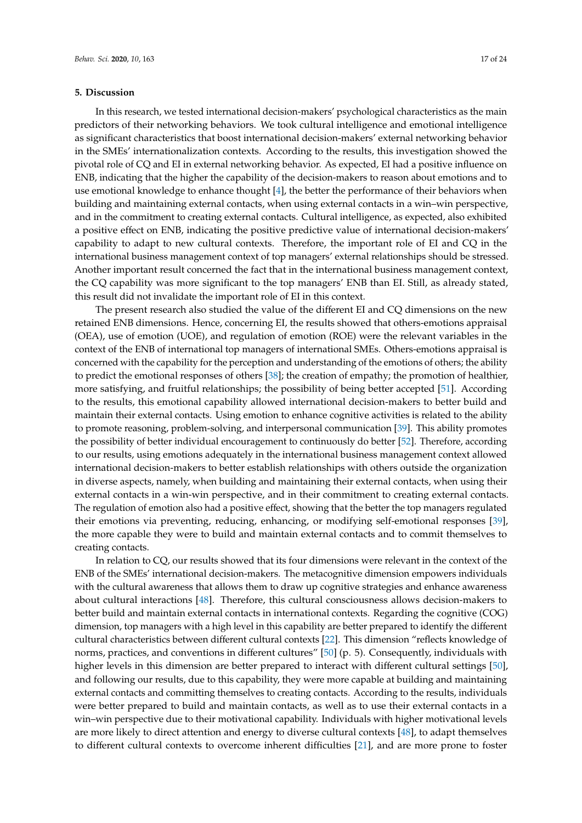#### <span id="page-16-0"></span>**5. Discussion**

In this research, we tested international decision-makers' psychological characteristics as the main predictors of their networking behaviors. We took cultural intelligence and emotional intelligence as significant characteristics that boost international decision-makers' external networking behavior in the SMEs' internationalization contexts. According to the results, this investigation showed the pivotal role of CQ and EI in external networking behavior. As expected, EI had a positive influence on ENB, indicating that the higher the capability of the decision-makers to reason about emotions and to use emotional knowledge to enhance thought [\[4\]](#page-19-3), the better the performance of their behaviors when building and maintaining external contacts, when using external contacts in a win–win perspective, and in the commitment to creating external contacts. Cultural intelligence, as expected, also exhibited a positive effect on ENB, indicating the positive predictive value of international decision-makers' capability to adapt to new cultural contexts. Therefore, the important role of EI and CQ in the international business management context of top managers' external relationships should be stressed. Another important result concerned the fact that in the international business management context, the CQ capability was more significant to the top managers' ENB than EI. Still, as already stated, this result did not invalidate the important role of EI in this context.

The present research also studied the value of the different EI and CQ dimensions on the new retained ENB dimensions. Hence, concerning EI, the results showed that others-emotions appraisal (OEA), use of emotion (UOE), and regulation of emotion (ROE) were the relevant variables in the context of the ENB of international top managers of international SMEs. Others-emotions appraisal is concerned with the capability for the perception and understanding of the emotions of others; the ability to predict the emotional responses of others [\[38\]](#page-21-0); the creation of empathy; the promotion of healthier, more satisfying, and fruitful relationships; the possibility of being better accepted [\[51\]](#page-21-13). According to the results, this emotional capability allowed international decision-makers to better build and maintain their external contacts. Using emotion to enhance cognitive activities is related to the ability to promote reasoning, problem-solving, and interpersonal communication [\[39\]](#page-21-1). This ability promotes the possibility of better individual encouragement to continuously do better [\[52\]](#page-21-14). Therefore, according to our results, using emotions adequately in the international business management context allowed international decision-makers to better establish relationships with others outside the organization in diverse aspects, namely, when building and maintaining their external contacts, when using their external contacts in a win-win perspective, and in their commitment to creating external contacts. The regulation of emotion also had a positive effect, showing that the better the top managers regulated their emotions via preventing, reducing, enhancing, or modifying self-emotional responses [\[39\]](#page-21-1), the more capable they were to build and maintain external contacts and to commit themselves to creating contacts.

In relation to CQ, our results showed that its four dimensions were relevant in the context of the ENB of the SMEs' international decision-makers. The metacognitive dimension empowers individuals with the cultural awareness that allows them to draw up cognitive strategies and enhance awareness about cultural interactions [\[48\]](#page-21-10). Therefore, this cultural consciousness allows decision-makers to better build and maintain external contacts in international contexts. Regarding the cognitive (COG) dimension, top managers with a high level in this capability are better prepared to identify the different cultural characteristics between different cultural contexts [\[22\]](#page-20-7). This dimension "reflects knowledge of norms, practices, and conventions in different cultures" [\[50\]](#page-21-12) (p. 5). Consequently, individuals with higher levels in this dimension are better prepared to interact with different cultural settings [\[50\]](#page-21-12), and following our results, due to this capability, they were more capable at building and maintaining external contacts and committing themselves to creating contacts. According to the results, individuals were better prepared to build and maintain contacts, as well as to use their external contacts in a win–win perspective due to their motivational capability. Individuals with higher motivational levels are more likely to direct attention and energy to diverse cultural contexts [\[48\]](#page-21-10), to adapt themselves to different cultural contexts to overcome inherent difficulties [\[21\]](#page-20-6), and are more prone to foster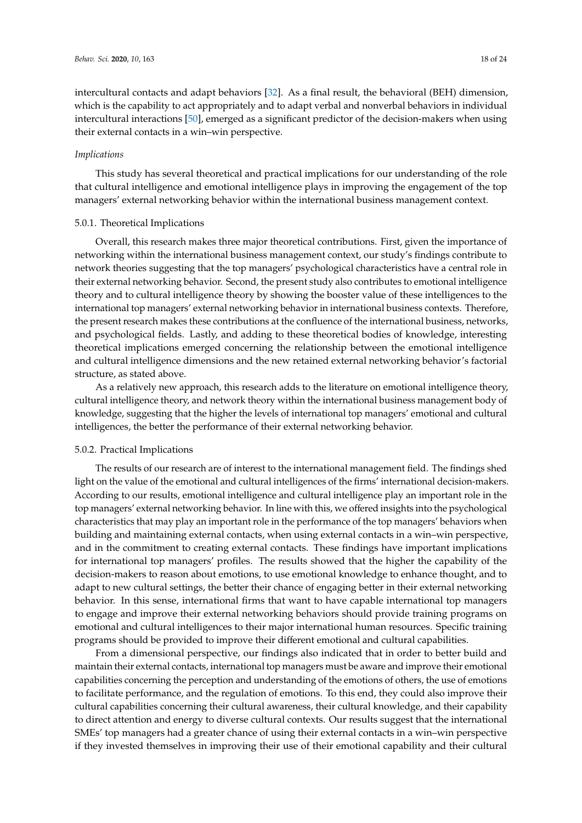intercultural contacts and adapt behaviors [\[32\]](#page-20-17). As a final result, the behavioral (BEH) dimension, which is the capability to act appropriately and to adapt verbal and nonverbal behaviors in individual intercultural interactions [\[50\]](#page-21-12), emerged as a significant predictor of the decision-makers when using their external contacts in a win–win perspective.

# *Implications*

This study has several theoretical and practical implications for our understanding of the role that cultural intelligence and emotional intelligence plays in improving the engagement of the top managers' external networking behavior within the international business management context.

# 5.0.1. Theoretical Implications

Overall, this research makes three major theoretical contributions. First, given the importance of networking within the international business management context, our study's findings contribute to network theories suggesting that the top managers' psychological characteristics have a central role in their external networking behavior. Second, the present study also contributes to emotional intelligence theory and to cultural intelligence theory by showing the booster value of these intelligences to the international top managers' external networking behavior in international business contexts. Therefore, the present research makes these contributions at the confluence of the international business, networks, and psychological fields. Lastly, and adding to these theoretical bodies of knowledge, interesting theoretical implications emerged concerning the relationship between the emotional intelligence and cultural intelligence dimensions and the new retained external networking behavior's factorial structure, as stated above.

As a relatively new approach, this research adds to the literature on emotional intelligence theory, cultural intelligence theory, and network theory within the international business management body of knowledge, suggesting that the higher the levels of international top managers' emotional and cultural intelligences, the better the performance of their external networking behavior.

# 5.0.2. Practical Implications

The results of our research are of interest to the international management field. The findings shed light on the value of the emotional and cultural intelligences of the firms' international decision-makers. According to our results, emotional intelligence and cultural intelligence play an important role in the top managers' external networking behavior. In line with this, we offered insights into the psychological characteristics that may play an important role in the performance of the top managers' behaviors when building and maintaining external contacts, when using external contacts in a win–win perspective, and in the commitment to creating external contacts. These findings have important implications for international top managers' profiles. The results showed that the higher the capability of the decision-makers to reason about emotions, to use emotional knowledge to enhance thought, and to adapt to new cultural settings, the better their chance of engaging better in their external networking behavior. In this sense, international firms that want to have capable international top managers to engage and improve their external networking behaviors should provide training programs on emotional and cultural intelligences to their major international human resources. Specific training programs should be provided to improve their different emotional and cultural capabilities.

From a dimensional perspective, our findings also indicated that in order to better build and maintain their external contacts, international top managers must be aware and improve their emotional capabilities concerning the perception and understanding of the emotions of others, the use of emotions to facilitate performance, and the regulation of emotions. To this end, they could also improve their cultural capabilities concerning their cultural awareness, their cultural knowledge, and their capability to direct attention and energy to diverse cultural contexts. Our results suggest that the international SMEs' top managers had a greater chance of using their external contacts in a win–win perspective if they invested themselves in improving their use of their emotional capability and their cultural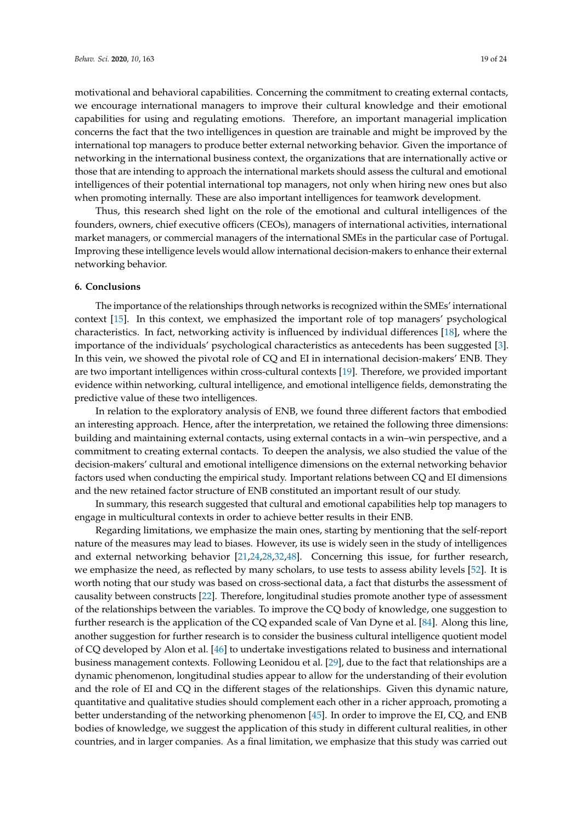motivational and behavioral capabilities. Concerning the commitment to creating external contacts, we encourage international managers to improve their cultural knowledge and their emotional capabilities for using and regulating emotions. Therefore, an important managerial implication concerns the fact that the two intelligences in question are trainable and might be improved by the international top managers to produce better external networking behavior. Given the importance of networking in the international business context, the organizations that are internationally active or those that are intending to approach the international markets should assess the cultural and emotional intelligences of their potential international top managers, not only when hiring new ones but also when promoting internally. These are also important intelligences for teamwork development.

Thus, this research shed light on the role of the emotional and cultural intelligences of the founders, owners, chief executive officers (CEOs), managers of international activities, international market managers, or commercial managers of the international SMEs in the particular case of Portugal. Improving these intelligence levels would allow international decision-makers to enhance their external networking behavior.

#### <span id="page-18-0"></span>**6. Conclusions**

The importance of the relationships through networks is recognized within the SMEs' international context [\[15\]](#page-20-0). In this context, we emphasized the important role of top managers' psychological characteristics. In fact, networking activity is influenced by individual differences [\[18\]](#page-20-3), where the importance of the individuals' psychological characteristics as antecedents has been suggested [\[3\]](#page-19-2). In this vein, we showed the pivotal role of CQ and EI in international decision-makers' ENB. They are two important intelligences within cross-cultural contexts [\[19\]](#page-20-4). Therefore, we provided important evidence within networking, cultural intelligence, and emotional intelligence fields, demonstrating the predictive value of these two intelligences.

In relation to the exploratory analysis of ENB, we found three different factors that embodied an interesting approach. Hence, after the interpretation, we retained the following three dimensions: building and maintaining external contacts, using external contacts in a win–win perspective, and a commitment to creating external contacts. To deepen the analysis, we also studied the value of the decision-makers' cultural and emotional intelligence dimensions on the external networking behavior factors used when conducting the empirical study. Important relations between CQ and EI dimensions and the new retained factor structure of ENB constituted an important result of our study.

In summary, this research suggested that cultural and emotional capabilities help top managers to engage in multicultural contexts in order to achieve better results in their ENB.

Regarding limitations, we emphasize the main ones, starting by mentioning that the self-report nature of the measures may lead to biases. However, its use is widely seen in the study of intelligences and external networking behavior [\[21](#page-20-6)[,24](#page-20-9)[,28](#page-20-13)[,32](#page-20-17)[,48\]](#page-21-10). Concerning this issue, for further research, we emphasize the need, as reflected by many scholars, to use tests to assess ability levels [\[52\]](#page-21-14). It is worth noting that our study was based on cross-sectional data, a fact that disturbs the assessment of causality between constructs [\[22\]](#page-20-7). Therefore, longitudinal studies promote another type of assessment of the relationships between the variables. To improve the CQ body of knowledge, one suggestion to further research is the application of the CQ expanded scale of Van Dyne et al. [\[84\]](#page-23-0). Along this line, another suggestion for further research is to consider the business cultural intelligence quotient model of CQ developed by Alon et al. [\[46\]](#page-21-8) to undertake investigations related to business and international business management contexts. Following Leonidou et al. [\[29\]](#page-20-14), due to the fact that relationships are a dynamic phenomenon, longitudinal studies appear to allow for the understanding of their evolution and the role of EI and CQ in the different stages of the relationships. Given this dynamic nature, quantitative and qualitative studies should complement each other in a richer approach, promoting a better understanding of the networking phenomenon [\[45\]](#page-21-7). In order to improve the EI, CQ, and ENB bodies of knowledge, we suggest the application of this study in different cultural realities, in other countries, and in larger companies. As a final limitation, we emphasize that this study was carried out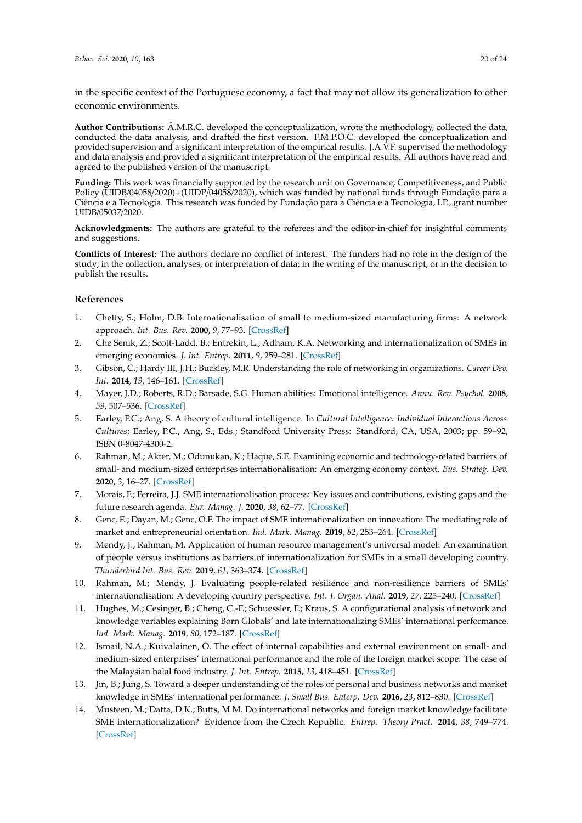in the specific context of the Portuguese economy, a fact that may not allow its generalization to other economic environments.

**Author Contributions:** Â.M.R.C. developed the conceptualization, wrote the methodology, collected the data, conducted the data analysis, and drafted the first version. F.M.P.O.C. developed the conceptualization and provided supervision and a significant interpretation of the empirical results. J.A.V.F. supervised the methodology and data analysis and provided a significant interpretation of the empirical results. All authors have read and agreed to the published version of the manuscript.

**Funding:** This work was financially supported by the research unit on Governance, Competitiveness, and Public Policy (UIDB/04058/2020)+(UIDP/04058/2020), which was funded by national funds through Fundação para a Ciência e a Tecnologia. This research was funded by Fundação para a Ciência e a Tecnologia, I.P., grant number UIDB/05037/2020.

**Acknowledgments:** The authors are grateful to the referees and the editor-in-chief for insightful comments and suggestions.

**Conflicts of Interest:** The authors declare no conflict of interest. The funders had no role in the design of the study; in the collection, analyses, or interpretation of data; in the writing of the manuscript, or in the decision to publish the results.

# **References**

- <span id="page-19-0"></span>1. Chetty, S.; Holm, D.B. Internationalisation of small to medium-sized manufacturing firms: A network approach. *Int. Bus. Rev.* **2000**, *9*, 77–93. [\[CrossRef\]](http://dx.doi.org/10.1016/S0969-5931(99)00030-X)
- <span id="page-19-1"></span>2. Che Senik, Z.; Scott-Ladd, B.; Entrekin, L.; Adham, K.A. Networking and internationalization of SMEs in emerging economies. *J. Int. Entrep.* **2011**, *9*, 259–281. [\[CrossRef\]](http://dx.doi.org/10.1007/s10843-011-0078-x)
- <span id="page-19-2"></span>3. Gibson, C.; Hardy III, J.H.; Buckley, M.R. Understanding the role of networking in organizations. *Career Dev. Int.* **2014**, *19*, 146–161. [\[CrossRef\]](http://dx.doi.org/10.1108/CDI-09-2013-0111)
- <span id="page-19-3"></span>4. Mayer, J.D.; Roberts, R.D.; Barsade, S.G. Human abilities: Emotional intelligence. *Annu. Rev. Psychol.* **2008**, *59*, 507–536. [\[CrossRef\]](http://dx.doi.org/10.1146/annurev.psych.59.103006.093646)
- <span id="page-19-4"></span>5. Earley, P.C.; Ang, S. A theory of cultural intelligence. In *Cultural Intelligence: Individual Interactions Across Cultures*; Earley, P.C., Ang, S., Eds.; Standford University Press: Standford, CA, USA, 2003; pp. 59–92, ISBN 0-8047-4300-2.
- <span id="page-19-5"></span>6. Rahman, M.; Akter, M.; Odunukan, K.; Haque, S.E. Examining economic and technology-related barriers of small- and medium-sized enterprises internationalisation: An emerging economy context. *Bus. Strateg. Dev.* **2020**, *3*, 16–27. [\[CrossRef\]](http://dx.doi.org/10.1002/bsd2.71)
- <span id="page-19-6"></span>7. Morais, F.; Ferreira, J.J. SME internationalisation process: Key issues and contributions, existing gaps and the future research agenda. *Eur. Manag. J.* **2020**, *38*, 62–77. [\[CrossRef\]](http://dx.doi.org/10.1016/j.emj.2019.08.001)
- <span id="page-19-7"></span>8. Genc, E.; Dayan, M.; Genc, O.F. The impact of SME internationalization on innovation: The mediating role of market and entrepreneurial orientation. *Ind. Mark. Manag.* **2019**, *82*, 253–264. [\[CrossRef\]](http://dx.doi.org/10.1016/j.indmarman.2019.01.008)
- <span id="page-19-8"></span>9. Mendy, J.; Rahman, M. Application of human resource management's universal model: An examination of people versus institutions as barriers of internationalization for SMEs in a small developing country. *Thunderbird Int. Bus. Rev.* **2019**, *61*, 363–374. [\[CrossRef\]](http://dx.doi.org/10.1002/tie.21985)
- <span id="page-19-9"></span>10. Rahman, M.; Mendy, J. Evaluating people-related resilience and non-resilience barriers of SMEs' internationalisation: A developing country perspective. *Int. J. Organ. Anal.* **2019**, *27*, 225–240. [\[CrossRef\]](http://dx.doi.org/10.1108/IJOA-02-2018-1361)
- <span id="page-19-10"></span>11. Hughes, M.; Cesinger, B.; Cheng, C.-F.; Schuessler, F.; Kraus, S. A configurational analysis of network and knowledge variables explaining Born Globals' and late internationalizing SMEs' international performance. *Ind. Mark. Manag.* **2019**, *80*, 172–187. [\[CrossRef\]](http://dx.doi.org/10.1016/j.indmarman.2017.12.001)
- <span id="page-19-13"></span>12. Ismail, N.A.; Kuivalainen, O. The effect of internal capabilities and external environment on small- and medium-sized enterprises' international performance and the role of the foreign market scope: The case of the Malaysian halal food industry. *J. Int. Entrep.* **2015**, *13*, 418–451. [\[CrossRef\]](http://dx.doi.org/10.1007/s10843-015-0160-x)
- <span id="page-19-12"></span>13. Jin, B.; Jung, S. Toward a deeper understanding of the roles of personal and business networks and market knowledge in SMEs' international performance. *J. Small Bus. Enterp. Dev.* **2016**, *23*, 812–830. [\[CrossRef\]](http://dx.doi.org/10.1108/JSBED-08-2015-0104)
- <span id="page-19-11"></span>14. Musteen, M.; Datta, D.K.; Butts, M.M. Do international networks and foreign market knowledge facilitate SME internationalization? Evidence from the Czech Republic. *Entrep. Theory Pract.* **2014**, *38*, 749–774. [\[CrossRef\]](http://dx.doi.org/10.1111/etap.12025)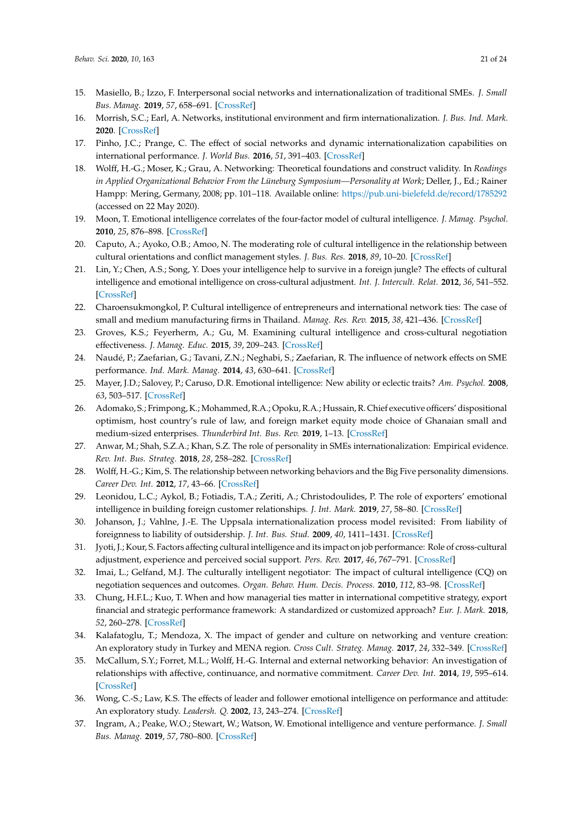- <span id="page-20-0"></span>15. Masiello, B.; Izzo, F. Interpersonal social networks and internationalization of traditional SMEs. *J. Small Bus. Manag.* **2019**, *57*, 658–691. [\[CrossRef\]](http://dx.doi.org/10.1111/jsbm.12536)
- <span id="page-20-1"></span>16. Morrish, S.C.; Earl, A. Networks, institutional environment and firm internationalization. *J. Bus. Ind. Mark.* **2020**. [\[CrossRef\]](http://dx.doi.org/10.1108/JBIM-05-2019-0230)
- <span id="page-20-2"></span>17. Pinho, J.C.; Prange, C. The effect of social networks and dynamic internationalization capabilities on international performance. *J. World Bus.* **2016**, *51*, 391–403. [\[CrossRef\]](http://dx.doi.org/10.1016/j.jwb.2015.08.001)
- <span id="page-20-3"></span>18. Wolff, H.-G.; Moser, K.; Grau, A. Networking: Theoretical foundations and construct validity. In *Readings in Applied Organizational Behavior From the Lüneburg Symposium—Personality at Work*; Deller, J., Ed.; Rainer Hampp: Mering, Germany, 2008; pp. 101–118. Available online: https://[pub.uni-bielefeld.de](https://pub.uni-bielefeld.de/record/1785292)/record/1785292 (accessed on 22 May 2020).
- <span id="page-20-4"></span>19. Moon, T. Emotional intelligence correlates of the four-factor model of cultural intelligence. *J. Manag. Psychol.* **2010**, *25*, 876–898. [\[CrossRef\]](http://dx.doi.org/10.1108/02683941011089134)
- <span id="page-20-5"></span>20. Caputo, A.; Ayoko, O.B.; Amoo, N. The moderating role of cultural intelligence in the relationship between cultural orientations and conflict management styles. *J. Bus. Res.* **2018**, *89*, 10–20. [\[CrossRef\]](http://dx.doi.org/10.1016/j.jbusres.2018.03.042)
- <span id="page-20-6"></span>21. Lin, Y.; Chen, A.S.; Song, Y. Does your intelligence help to survive in a foreign jungle? The effects of cultural intelligence and emotional intelligence on cross-cultural adjustment. *Int. J. Intercult. Relat.* **2012**, *36*, 541–552. [\[CrossRef\]](http://dx.doi.org/10.1016/j.ijintrel.2012.03.001)
- <span id="page-20-7"></span>22. Charoensukmongkol, P. Cultural intelligence of entrepreneurs and international network ties: The case of small and medium manufacturing firms in Thailand. *Manag. Res. Rev.* **2015**, *38*, 421–436. [\[CrossRef\]](http://dx.doi.org/10.1108/MRR-09-2013-0214)
- <span id="page-20-8"></span>23. Groves, K.S.; Feyerherm, A.; Gu, M. Examining cultural intelligence and cross-cultural negotiation effectiveness. *J. Manag. Educ.* **2015**, *39*, 209–243. [\[CrossRef\]](http://dx.doi.org/10.1177/1052562914543273)
- <span id="page-20-9"></span>24. Naudé, P.; Zaefarian, G.; Tavani, Z.N.; Neghabi, S.; Zaefarian, R. The influence of network effects on SME performance. *Ind. Mark. Manag.* **2014**, *43*, 630–641. [\[CrossRef\]](http://dx.doi.org/10.1016/j.indmarman.2014.02.004)
- <span id="page-20-10"></span>25. Mayer, J.D.; Salovey, P.; Caruso, D.R. Emotional intelligence: New ability or eclectic traits? *Am. Psychol.* **2008**, *63*, 503–517. [\[CrossRef\]](http://dx.doi.org/10.1037/0003-066X.63.6.503)
- <span id="page-20-11"></span>26. Adomako, S.; Frimpong, K.; Mohammed, R.A.; Opoku, R.A.; Hussain, R. Chief executive officers' dispositional optimism, host country's rule of law, and foreign market equity mode choice of Ghanaian small and medium-sized enterprises. *Thunderbird Int. Bus. Rev.* **2019**, 1–13. [\[CrossRef\]](http://dx.doi.org/10.1002/tie.22109)
- <span id="page-20-12"></span>27. Anwar, M.; Shah, S.Z.A.; Khan, S.Z. The role of personality in SMEs internationalization: Empirical evidence. *Rev. Int. Bus. Strateg.* **2018**, *28*, 258–282. [\[CrossRef\]](http://dx.doi.org/10.1108/RIBS-12-2017-0113)
- <span id="page-20-13"></span>28. Wolff, H.-G.; Kim, S. The relationship between networking behaviors and the Big Five personality dimensions. *Career Dev. Int.* **2012**, *17*, 43–66. [\[CrossRef\]](http://dx.doi.org/10.1108/13620431211201328)
- <span id="page-20-14"></span>29. Leonidou, L.C.; Aykol, B.; Fotiadis, T.A.; Zeriti, A.; Christodoulides, P. The role of exporters' emotional intelligence in building foreign customer relationships. *J. Int. Mark.* **2019**, *27*, 58–80. [\[CrossRef\]](http://dx.doi.org/10.1177/1069031X19876642)
- <span id="page-20-15"></span>30. Johanson, J.; Vahlne, J.-E. The Uppsala internationalization process model revisited: From liability of foreignness to liability of outsidership. *J. Int. Bus. Stud.* **2009**, *40*, 1411–1431. [\[CrossRef\]](http://dx.doi.org/10.1057/jibs.2009.24)
- <span id="page-20-16"></span>31. Jyoti, J.; Kour, S. Factors affecting cultural intelligence and its impact on job performance: Role of cross-cultural adjustment, experience and perceived social support. *Pers. Rev.* **2017**, *46*, 767–791. [\[CrossRef\]](http://dx.doi.org/10.1108/PR-12-2015-0313)
- <span id="page-20-17"></span>32. Imai, L.; Gelfand, M.J. The culturally intelligent negotiator: The impact of cultural intelligence (CQ) on negotiation sequences and outcomes. *Organ. Behav. Hum. Decis. Process.* **2010**, *112*, 83–98. [\[CrossRef\]](http://dx.doi.org/10.1016/j.obhdp.2010.02.001)
- <span id="page-20-18"></span>33. Chung, H.F.L.; Kuo, T. When and how managerial ties matter in international competitive strategy, export financial and strategic performance framework: A standardized or customized approach? *Eur. J. Mark.* **2018**, *52*, 260–278. [\[CrossRef\]](http://dx.doi.org/10.1108/EJM-05-2015-0305)
- <span id="page-20-19"></span>34. Kalafatoglu, T.; Mendoza, X. The impact of gender and culture on networking and venture creation: An exploratory study in Turkey and MENA region. *Cross Cult. Strateg. Manag.* **2017**, *24*, 332–349. [\[CrossRef\]](http://dx.doi.org/10.1108/CCSM-04-2016-0090)
- <span id="page-20-20"></span>35. McCallum, S.Y.; Forret, M.L.; Wolff, H.-G. Internal and external networking behavior: An investigation of relationships with affective, continuance, and normative commitment. *Career Dev. Int.* **2014**, *19*, 595–614. [\[CrossRef\]](http://dx.doi.org/10.1108/CDI-08-2013-0101)
- <span id="page-20-21"></span>36. Wong, C.-S.; Law, K.S. The effects of leader and follower emotional intelligence on performance and attitude: An exploratory study. *Leadersh. Q.* **2002**, *13*, 243–274. [\[CrossRef\]](http://dx.doi.org/10.1016/S1048-9843(02)00099-1)
- <span id="page-20-22"></span>37. Ingram, A.; Peake, W.O.; Stewart, W.; Watson, W. Emotional intelligence and venture performance. *J. Small Bus. Manag.* **2019**, *57*, 780–800. [\[CrossRef\]](http://dx.doi.org/10.1111/jsbm.12333)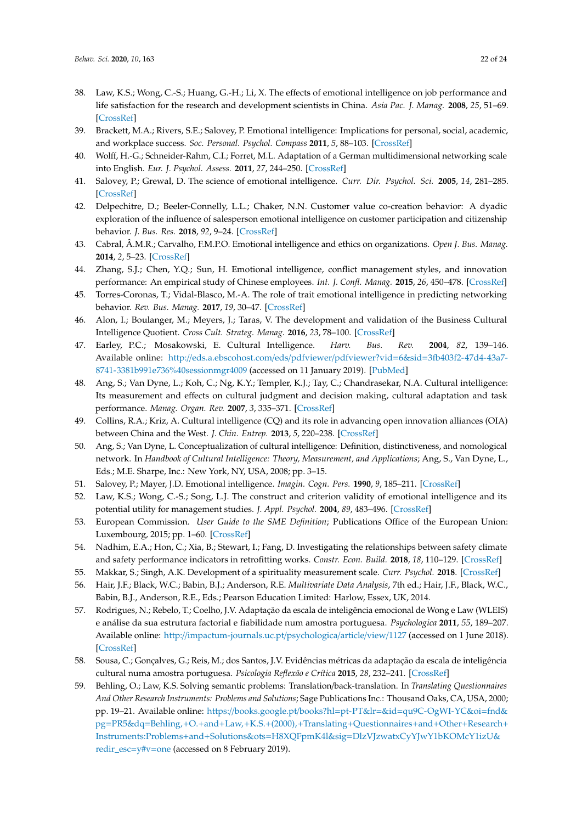- <span id="page-21-0"></span>38. Law, K.S.; Wong, C.-S.; Huang, G.-H.; Li, X. The effects of emotional intelligence on job performance and life satisfaction for the research and development scientists in China. *Asia Pac. J. Manag.* **2008**, *25*, 51–69. [\[CrossRef\]](http://dx.doi.org/10.1007/s10490-007-9062-3)
- <span id="page-21-1"></span>39. Brackett, M.A.; Rivers, S.E.; Salovey, P. Emotional intelligence: Implications for personal, social, academic, and workplace success. *Soc. Personal. Psychol. Compass* **2011**, *5*, 88–103. [\[CrossRef\]](http://dx.doi.org/10.1111/j.1751-9004.2010.00334.x)
- <span id="page-21-2"></span>40. Wolff, H.-G.; Schneider-Rahm, C.I.; Forret, M.L. Adaptation of a German multidimensional networking scale into English. *Eur. J. Psychol. Assess.* **2011**, *27*, 244–250. [\[CrossRef\]](http://dx.doi.org/10.1027/1015-5759/a000070)
- <span id="page-21-3"></span>41. Salovey, P.; Grewal, D. The science of emotional intelligence. *Curr. Dir. Psychol. Sci.* **2005**, *14*, 281–285. [\[CrossRef\]](http://dx.doi.org/10.1111/j.0963-7214.2005.00381.x)
- <span id="page-21-4"></span>42. Delpechitre, D.; Beeler-Connelly, L.L.; Chaker, N.N. Customer value co-creation behavior: A dyadic exploration of the influence of salesperson emotional intelligence on customer participation and citizenship behavior. *J. Bus. Res.* **2018**, *92*, 9–24. [\[CrossRef\]](http://dx.doi.org/10.1016/j.jbusres.2018.05.007)
- <span id="page-21-5"></span>43. Cabral, Â.M.R.; Carvalho, F.M.P.O. Emotional intelligence and ethics on organizations. *Open J. Bus. Manag.* **2014**, *2*, 5–23. [\[CrossRef\]](http://dx.doi.org/10.4236/ojbm.2014.21004)
- <span id="page-21-6"></span>44. Zhang, S.J.; Chen, Y.Q.; Sun, H. Emotional intelligence, conflict management styles, and innovation performance: An empirical study of Chinese employees. *Int. J. Confl. Manag.* **2015**, *26*, 450–478. [\[CrossRef\]](http://dx.doi.org/10.1108/IJCMA-06-2014-0039)
- <span id="page-21-7"></span>45. Torres-Coronas, T.; Vidal-Blasco, M.-A. The role of trait emotional intelligence in predicting networking behavior. *Rev. Bus. Manag.* **2017**, *19*, 30–47. [\[CrossRef\]](http://dx.doi.org/10.7819/rbgn.v0i0.3127)
- <span id="page-21-8"></span>46. Alon, I.; Boulanger, M.; Meyers, J.; Taras, V. The development and validation of the Business Cultural Intelligence Quotient. *Cross Cult. Strateg. Manag.* **2016**, *23*, 78–100. [\[CrossRef\]](http://dx.doi.org/10.1108/CCSM-10-2015-0138)
- <span id="page-21-9"></span>47. Earley, P.C.; Mosakowski, E. Cultural Intelligence. *Harv. Bus. Rev.* **2004**, *82*, 139–146. Available online: http://[eds.a.ebscohost.com](http://eds.a.ebscohost.com/eds/pdfviewer/pdfviewer?vid=6&sid=3fb403f2-47d4-43a7-8741-3381b991e736%40sessionmgr4009)/eds/pdfviewer/pdfviewer?vid=6&sid=3fb403f2-47d4-43a7- [8741-3381b991e736%40sessionmgr4009](http://eds.a.ebscohost.com/eds/pdfviewer/pdfviewer?vid=6&sid=3fb403f2-47d4-43a7-8741-3381b991e736%40sessionmgr4009) (accessed on 11 January 2019). [\[PubMed\]](http://www.ncbi.nlm.nih.gov/pubmed/15559582)
- <span id="page-21-10"></span>48. Ang, S.; Van Dyne, L.; Koh, C.; Ng, K.Y.; Templer, K.J.; Tay, C.; Chandrasekar, N.A. Cultural intelligence: Its measurement and effects on cultural judgment and decision making, cultural adaptation and task performance. *Manag. Organ. Rev.* **2007**, *3*, 335–371. [\[CrossRef\]](http://dx.doi.org/10.1111/j.1740-8784.2007.00082.x)
- <span id="page-21-11"></span>49. Collins, R.A.; Kriz, A. Cultural intelligence (CQ) and its role in advancing open innovation alliances (OIA) between China and the West. *J. Chin. Entrep.* **2013**, *5*, 220–238. [\[CrossRef\]](http://dx.doi.org/10.1108/JCE-03-2013-0008)
- <span id="page-21-12"></span>50. Ang, S.; Van Dyne, L. Conceptualization of cultural intelligence: Definition, distinctiveness, and nomological network. In *Handbook of Cultural Intelligence: Theory, Measurement, and Applications*; Ang, S., Van Dyne, L., Eds.; M.E. Sharpe, Inc.: New York, NY, USA, 2008; pp. 3–15.
- <span id="page-21-13"></span>51. Salovey, P.; Mayer, J.D. Emotional intelligence. *Imagin. Cogn. Pers.* **1990**, *9*, 185–211. [\[CrossRef\]](http://dx.doi.org/10.2190/DUGG-P24E-52WK-6CDG)
- <span id="page-21-14"></span>52. Law, K.S.; Wong, C.-S.; Song, L.J. The construct and criterion validity of emotional intelligence and its potential utility for management studies. *J. Appl. Psychol.* **2004**, *89*, 483–496. [\[CrossRef\]](http://dx.doi.org/10.1037/0021-9010.89.3.483)
- <span id="page-21-15"></span>53. European Commission. *User Guide to the SME Definition*; Publications Office of the European Union: Luxembourg, 2015; pp. 1–60. [\[CrossRef\]](http://dx.doi.org/10.2873/620234)
- <span id="page-21-16"></span>54. Nadhim, E.A.; Hon, C.; Xia, B.; Stewart, I.; Fang, D. Investigating the relationships between safety climate and safety performance indicators in retrofitting works. *Constr. Econ. Build.* **2018**, *18*, 110–129. [\[CrossRef\]](http://dx.doi.org/10.5130/AJCEB.v18i2.5994)
- <span id="page-21-17"></span>55. Makkar, S.; Singh, A.K. Development of a spirituality measurement scale. *Curr. Psychol.* **2018**. [\[CrossRef\]](http://dx.doi.org/10.1007/s12144-018-0081-7)
- <span id="page-21-18"></span>56. Hair, J.F.; Black, W.C.; Babin, B.J.; Anderson, R.E. *Multivariate Data Analysis*, 7th ed.; Hair, J.F., Black, W.C., Babin, B.J., Anderson, R.E., Eds.; Pearson Education Limited: Harlow, Essex, UK, 2014.
- <span id="page-21-19"></span>57. Rodrigues, N.; Rebelo, T.; Coelho, J.V. Adaptação da escala de inteligência emocional de Wong e Law (WLEIS) e análise da sua estrutura factorial e fiabilidade num amostra portuguesa. *Psychologica* **2011**, *55*, 189–207. Available online: http://[impactum-journals.uc.pt](http://impactum-journals.uc.pt/psychologica/article/view/1127)/psychologica/article/view/1127 (accessed on 1 June 2018). [\[CrossRef\]](http://dx.doi.org/10.14195/1647-8606_55_10)
- <span id="page-21-20"></span>58. Sousa, C.; Gonçalves, G.; Reis, M.; dos Santos, J.V. Evidências métricas da adaptação da escala de inteligência cultural numa amostra portuguesa. *Psicologia Reflexão e Crítica* **2015**, *28*, 232–241. [\[CrossRef\]](http://dx.doi.org/10.1590/1678-7153.201528203)
- <span id="page-21-21"></span>59. Behling, O.; Law, K.S. Solving semantic problems: Translation/back-translation. In *Translating Questionnaires And Other Research Instruments: Problems and Solutions*; Sage Publications Inc.: Thousand Oaks, CA, USA, 2000; pp. 19–21. Available online: https://books.google.pt/books?hl=pt-PT&lr=&id=[qu9C-OgWI-YC&oi](https://books.google.pt/books?hl=pt-PT&lr=&id=qu9C-OgWI-YC&oi=fnd&pg=PR5&dq=Behling,+O.+and+Law,+K.S.+(2000),+Translating+Questionnaires+and+Other+Research+Instruments:Problems+and+Solutions&ots=H8XQFpmK4l&sig=DlzVJzwatxCyYJwY1bKOMcY1izU&redir_esc=y#v=one)=fnd& pg=PR5&dq=Behling,+O.+and+Law,+K.S.+(2000),+Translating+[Questionnaires](https://books.google.pt/books?hl=pt-PT&lr=&id=qu9C-OgWI-YC&oi=fnd&pg=PR5&dq=Behling,+O.+and+Law,+K.S.+(2000),+Translating+Questionnaires+and+Other+Research+Instruments:Problems+and+Solutions&ots=H8XQFpmK4l&sig=DlzVJzwatxCyYJwY1bKOMcY1izU&redir_esc=y#v=one)+and+Other+Research+ Instruments:Problems+and+Solutions&ots=H8XQFpmK4l&sig=[DlzVJzwatxCyYJwY1bKOMcY1izU&](https://books.google.pt/books?hl=pt-PT&lr=&id=qu9C-OgWI-YC&oi=fnd&pg=PR5&dq=Behling,+O.+and+Law,+K.S.+(2000),+Translating+Questionnaires+and+Other+Research+Instruments:Problems+and+Solutions&ots=H8XQFpmK4l&sig=DlzVJzwatxCyYJwY1bKOMcY1izU&redir_esc=y#v=one) [redir\\_esc](https://books.google.pt/books?hl=pt-PT&lr=&id=qu9C-OgWI-YC&oi=fnd&pg=PR5&dq=Behling,+O.+and+Law,+K.S.+(2000),+Translating+Questionnaires+and+Other+Research+Instruments:Problems+and+Solutions&ots=H8XQFpmK4l&sig=DlzVJzwatxCyYJwY1bKOMcY1izU&redir_esc=y#v=one)=y#v=one (accessed on 8 February 2019).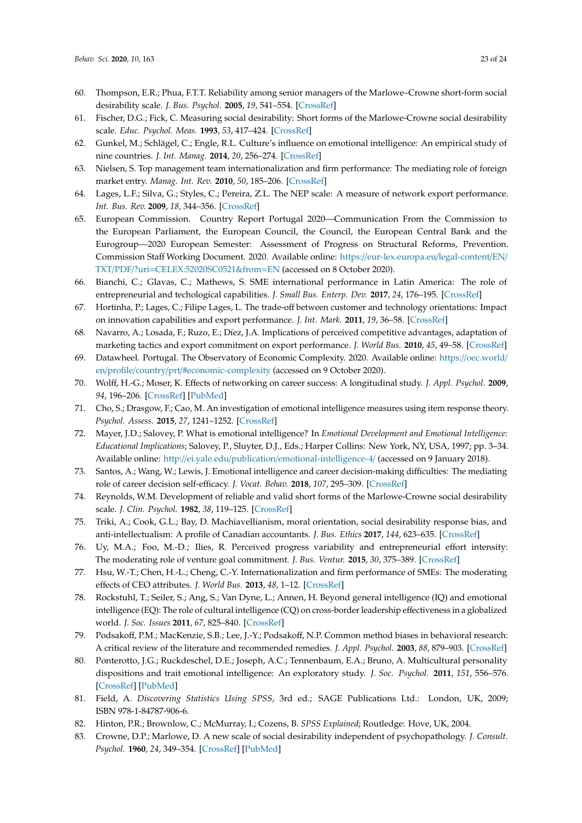- <span id="page-22-0"></span>60. Thompson, E.R.; Phua, F.T.T. Reliability among senior managers of the Marlowe–Crowne short-form social desirability scale. *J. Bus. Psychol.* **2005**, *19*, 541–554. [\[CrossRef\]](http://dx.doi.org/10.1007/s10869-005-4524-4)
- <span id="page-22-1"></span>61. Fischer, D.G.; Fick, C. Measuring social desirability: Short forms of the Marlowe-Crowne social desirability scale. *Educ. Psychol. Meas.* **1993**, *53*, 417–424. [\[CrossRef\]](http://dx.doi.org/10.1177/0013164493053002011)
- <span id="page-22-2"></span>62. Gunkel, M.; Schlägel, C.; Engle, R.L. Culture's influence on emotional intelligence: An empirical study of nine countries. *J. Int. Manag.* **2014**, *20*, 256–274. [\[CrossRef\]](http://dx.doi.org/10.1016/j.intman.2013.10.002)
- <span id="page-22-3"></span>63. Nielsen, S. Top management team internationalization and firm performance: The mediating role of foreign market entry. *Manag. Int. Rev.* **2010**, *50*, 185–206. [\[CrossRef\]](http://dx.doi.org/10.1007/s11575-010-0029-0)
- <span id="page-22-4"></span>64. Lages, L.F.; Silva, G.; Styles, C.; Pereira, Z.L. The NEP scale: A measure of network export performance. *Int. Bus. Rev.* **2009**, *18*, 344–356. [\[CrossRef\]](http://dx.doi.org/10.1016/j.ibusrev.2009.04.002)
- <span id="page-22-5"></span>65. European Commission. Country Report Portugal 2020—Communication From the Commission to the European Parliament, the European Council, the Council, the European Central Bank and the Eurogroup—2020 European Semester: Assessment of Progress on Structural Reforms, Prevention. Commission Staff Working Document. 2020. Available online: https://[eur-lex.europa.eu](https://eur-lex.europa.eu/legal-content/EN/TXT/PDF/?uri=CELEX:52020SC0521&from=EN)/legal-content/EN/ TXT/PDF/?uri=[CELEX:52020SC0521&from](https://eur-lex.europa.eu/legal-content/EN/TXT/PDF/?uri=CELEX:52020SC0521&from=EN)=EN (accessed on 8 October 2020).
- <span id="page-22-6"></span>66. Bianchi, C.; Glavas, C.; Mathews, S. SME international performance in Latin America: The role of entrepreneurial and techological capabilities. *J. Small Bus. Enterp. Dev.* **2017**, *24*, 176–195. [\[CrossRef\]](http://dx.doi.org/10.1108/JSBED-09-2016-0142)
- <span id="page-22-7"></span>67. Hortinha, P.; Lages, C.; Filipe Lages, L. The trade-off between customer and technology orientations: Impact on innovation capabilities and export performance. *J. Int. Mark.* **2011**, *19*, 36–58. [\[CrossRef\]](http://dx.doi.org/10.1509/jimk.19.3.36)
- <span id="page-22-8"></span>68. Navarro, A.; Losada, F.; Ruzo, E.; Díez, J.A. Implications of perceived competitive advantages, adaptation of marketing tactics and export commitment on export performance. *J. World Bus.* **2010**, *45*, 49–58. [\[CrossRef\]](http://dx.doi.org/10.1016/j.jwb.2009.04.004)
- <span id="page-22-9"></span>69. Datawheel. Portugal. The Observatory of Economic Complexity. 2020. Available online: https://[oec.world](https://oec.world/en/profile/country/prt/#economic-complexity)/ en/profile/country/prt/[#economic-complexity](https://oec.world/en/profile/country/prt/#economic-complexity) (accessed on 9 October 2020).
- <span id="page-22-10"></span>70. Wolff, H.-G.; Moser, K. Effects of networking on career success: A longitudinal study. *J. Appl. Psychol.* **2009**, *94*, 196–206. [\[CrossRef\]](http://dx.doi.org/10.1037/a0013350) [\[PubMed\]](http://www.ncbi.nlm.nih.gov/pubmed/19186904)
- <span id="page-22-11"></span>71. Cho, S.; Drasgow, F.; Cao, M. An investigation of emotional intelligence measures using item response theory. *Psychol. Assess.* **2015**, *27*, 1241–1252. [\[CrossRef\]](http://dx.doi.org/10.1037/pas0000132)
- <span id="page-22-12"></span>72. Mayer, J.D.; Salovey, P. What is emotional intelligence? In *Emotional Development and Emotional Intelligence: Educational Implications*; Salovey, P., Sluyter, D.J., Eds.; Harper Collins: New York, NY, USA, 1997; pp. 3–34. Available online: http://ei.yale.edu/publication/[emotional-intelligence-4](http://ei.yale.edu/publication/emotional-intelligence-4/)/ (accessed on 9 January 2018).
- <span id="page-22-13"></span>73. Santos, A.; Wang, W.; Lewis, J. Emotional intelligence and career decision-making difficulties: The mediating role of career decision self-efficacy. *J. Vocat. Behav.* **2018**, *107*, 295–309. [\[CrossRef\]](http://dx.doi.org/10.1016/j.jvb.2018.05.008)
- <span id="page-22-14"></span>74. Reynolds, W.M. Development of reliable and valid short forms of the Marlowe-Crowne social desirability scale. *J. Clin. Psychol.* **1982**, *38*, 119–125. [\[CrossRef\]](http://dx.doi.org/10.1002/1097-4679(198201)38:1<119::AID-JCLP2270380118>3.0.CO;2-I)
- <span id="page-22-15"></span>75. Triki, A.; Cook, G.L.; Bay, D. Machiavellianism, moral orientation, social desirability response bias, and anti-intellectualism: A profile of Canadian accountants. *J. Bus. Ethics* **2017**, *144*, 623–635. [\[CrossRef\]](http://dx.doi.org/10.1007/s10551-015-2826-7)
- <span id="page-22-16"></span>76. Uy, M.A.; Foo, M.-D.; Ilies, R. Perceived progress variability and entrepreneurial effort intensity: The moderating role of venture goal commitment. *J. Bus. Ventur.* **2015**, *30*, 375–389. [\[CrossRef\]](http://dx.doi.org/10.1016/j.jbusvent.2014.02.001)
- <span id="page-22-17"></span>77. Hsu, W.-T.; Chen, H.-L.; Cheng, C.-Y. Internationalization and firm performance of SMEs: The moderating effects of CEO attributes. *J. World Bus.* **2013**, *48*, 1–12. [\[CrossRef\]](http://dx.doi.org/10.1016/j.jwb.2012.06.001)
- <span id="page-22-18"></span>78. Rockstuhl, T.; Seiler, S.; Ang, S.; Van Dyne, L.; Annen, H. Beyond general intelligence (IQ) and emotional intelligence (EQ): The role of cultural intelligence (CQ) on cross-border leadership effectiveness in a globalized world. *J. Soc. Issues* **2011**, *67*, 825–840. [\[CrossRef\]](http://dx.doi.org/10.1111/j.1540-4560.2011.01730.x)
- <span id="page-22-19"></span>79. Podsakoff, P.M.; MacKenzie, S.B.; Lee, J.-Y.; Podsakoff, N.P. Common method biases in behavioral research: A critical review of the literature and recommended remedies. *J. Appl. Psychol.* **2003**, *88*, 879–903. [\[CrossRef\]](http://dx.doi.org/10.1037/0021-9010.88.5.879)
- <span id="page-22-20"></span>80. Ponterotto, J.G.; Ruckdeschel, D.E.; Joseph, A.C.; Tennenbaum, E.A.; Bruno, A. Multicultural personality dispositions and trait emotional intelligence: An exploratory study. *J. Soc. Psychol.* **2011**, *151*, 556–576. [\[CrossRef\]](http://dx.doi.org/10.1080/00224545.2010.503718) [\[PubMed\]](http://www.ncbi.nlm.nih.gov/pubmed/22017073)
- <span id="page-22-21"></span>81. Field, A. *Discovering Statistics Using SPSS*, 3rd ed.; SAGE Publications Ltd.: London, UK, 2009; ISBN 978-1-84787-906-6.
- <span id="page-22-22"></span>82. Hinton, P.R.; Brownlow, C.; McMurray, I.; Cozens, B. *SPSS Explained*; Routledge: Hove, UK, 2004.
- <span id="page-22-23"></span>83. Crowne, D.P.; Marlowe, D. A new scale of social desirability independent of psychopathology. *J. Consult. Psychol.* **1960**, *24*, 349–354. [\[CrossRef\]](http://dx.doi.org/10.1037/h0047358) [\[PubMed\]](http://www.ncbi.nlm.nih.gov/pubmed/13813058)